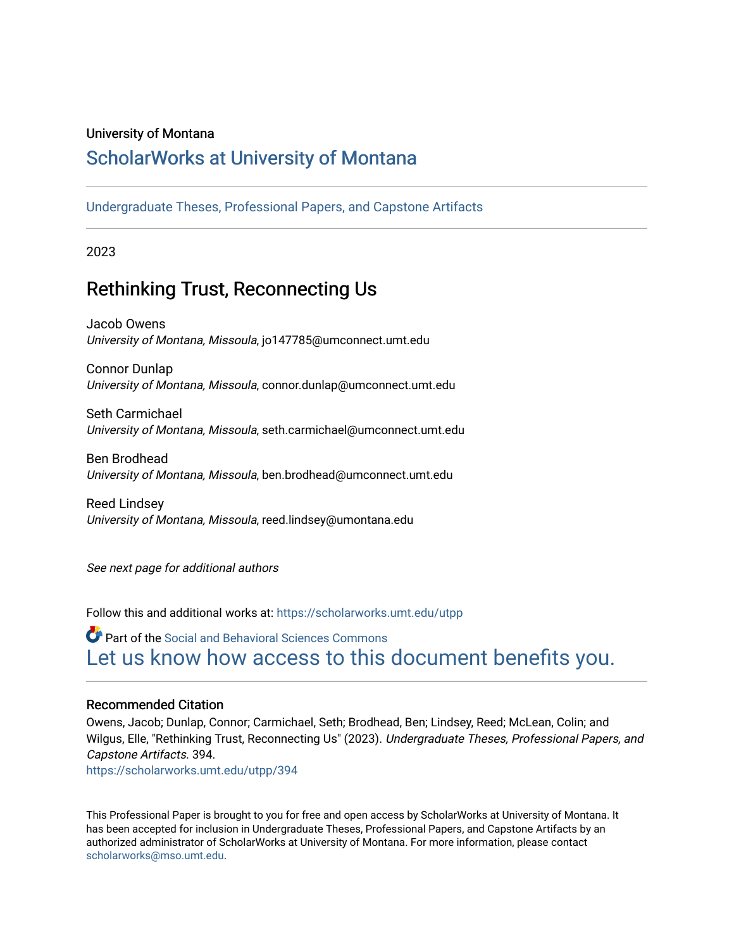# University of Montana

# [ScholarWorks at University of Montana](https://scholarworks.umt.edu/)

[Undergraduate Theses, Professional Papers, and Capstone Artifacts](https://scholarworks.umt.edu/utpp)

2023

# Rethinking Trust, Reconnecting Us

Jacob Owens University of Montana, Missoula, jo147785@umconnect.umt.edu

Connor Dunlap University of Montana, Missoula, connor.dunlap@umconnect.umt.edu

Seth Carmichael University of Montana, Missoula, seth.carmichael@umconnect.umt.edu

Ben Brodhead University of Montana, Missoula, ben.brodhead@umconnect.umt.edu

Reed Lindsey University of Montana, Missoula, reed.lindsey@umontana.edu

See next page for additional authors

Follow this and additional works at: [https://scholarworks.umt.edu/utpp](https://scholarworks.umt.edu/utpp?utm_source=scholarworks.umt.edu%2Futpp%2F394&utm_medium=PDF&utm_campaign=PDFCoverPages)

Part of the [Social and Behavioral Sciences Commons](https://network.bepress.com/hgg/discipline/316?utm_source=scholarworks.umt.edu%2Futpp%2F394&utm_medium=PDF&utm_campaign=PDFCoverPages)  [Let us know how access to this document benefits you.](https://goo.gl/forms/s2rGfXOLzz71qgsB2) 

# Recommended Citation

Owens, Jacob; Dunlap, Connor; Carmichael, Seth; Brodhead, Ben; Lindsey, Reed; McLean, Colin; and Wilgus, Elle, "Rethinking Trust, Reconnecting Us" (2023). Undergraduate Theses, Professional Papers, and Capstone Artifacts. 394.

[https://scholarworks.umt.edu/utpp/394](https://scholarworks.umt.edu/utpp/394?utm_source=scholarworks.umt.edu%2Futpp%2F394&utm_medium=PDF&utm_campaign=PDFCoverPages)

This Professional Paper is brought to you for free and open access by ScholarWorks at University of Montana. It has been accepted for inclusion in Undergraduate Theses, Professional Papers, and Capstone Artifacts by an authorized administrator of ScholarWorks at University of Montana. For more information, please contact [scholarworks@mso.umt.edu.](mailto:scholarworks@mso.umt.edu)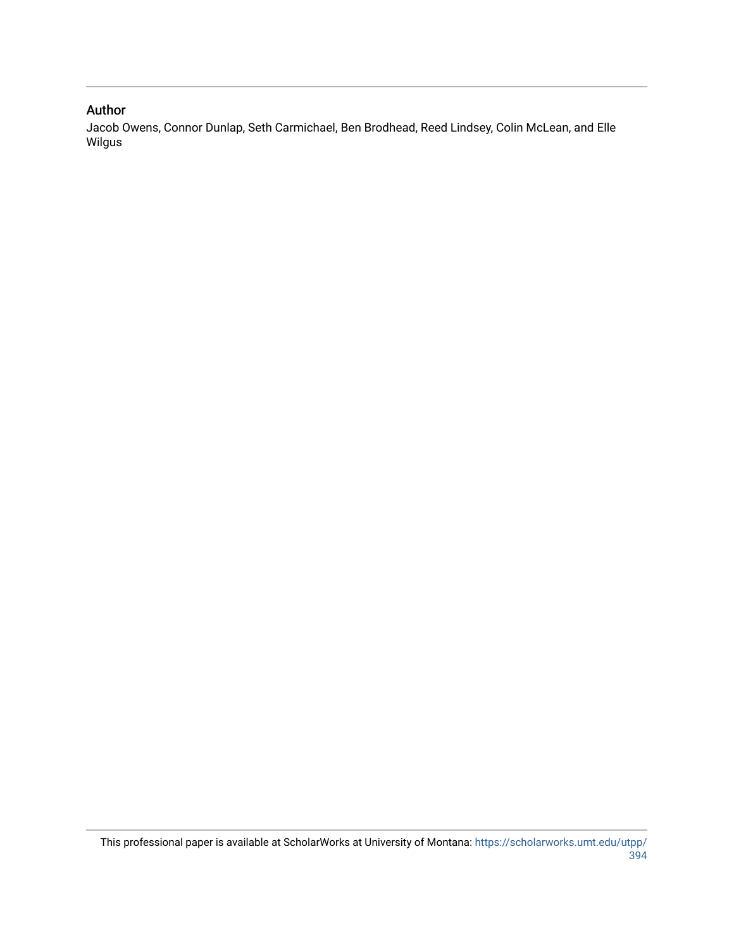# Author

Jacob Owens, Connor Dunlap, Seth Carmichael, Ben Brodhead, Reed Lindsey, Colin McLean, and Elle Wilgus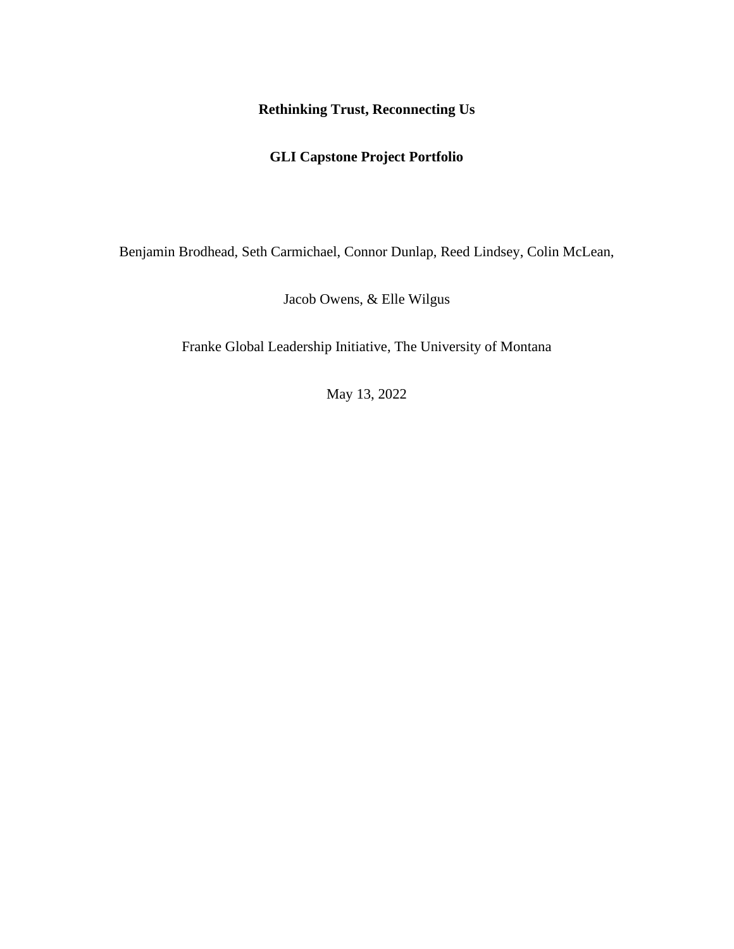# **Rethinking Trust, Reconnecting Us**

# **GLI Capstone Project Portfolio**

Benjamin Brodhead, Seth Carmichael, Connor Dunlap, Reed Lindsey, Colin McLean,

Jacob Owens, & Elle Wilgus

Franke Global Leadership Initiative, The University of Montana

May 13, 2022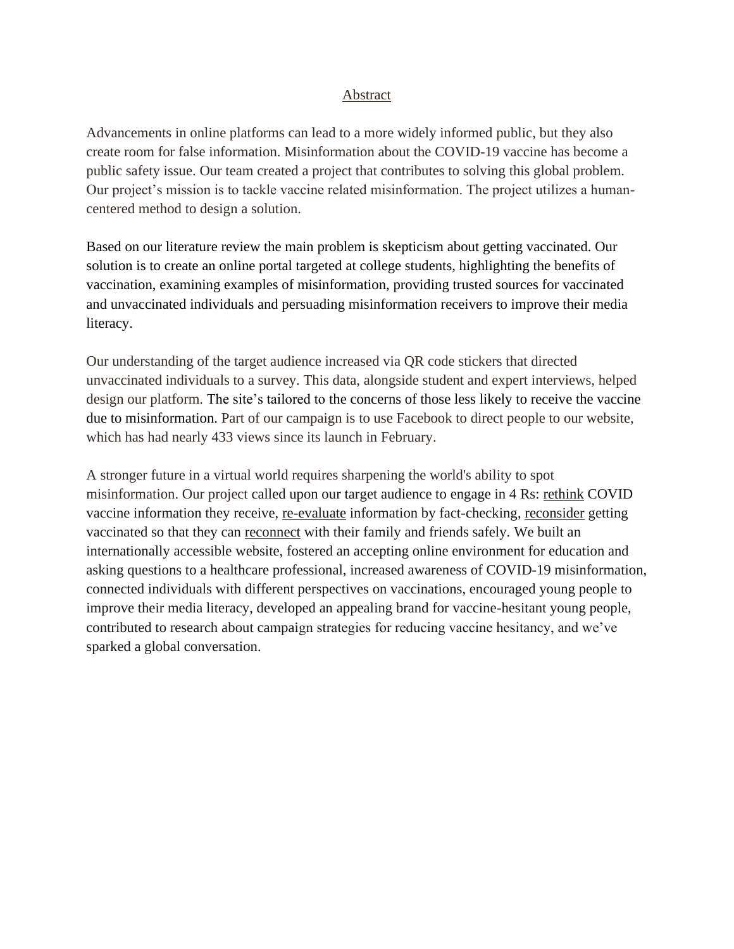# Abstract

Advancements in online platforms can lead to a more widely informed public, but they also create room for false information. Misinformation about the COVID-19 vaccine has become a public safety issue. Our team created a project that contributes to solving this global problem. Our project's mission is to tackle vaccine related misinformation. The project utilizes a humancentered method to design a solution.

Based on our literature review the main problem is skepticism about getting vaccinated. Our solution is to create an online portal targeted at college students, highlighting the benefits of vaccination, examining examples of misinformation, providing trusted sources for vaccinated and unvaccinated individuals and persuading misinformation receivers to improve their media literacy.

Our understanding of the target audience increased via QR code stickers that directed unvaccinated individuals to a survey. This data, alongside student and expert interviews, helped design our platform. The site's tailored to the concerns of those less likely to receive the vaccine due to misinformation. Part of our campaign is to use Facebook to direct people to our website, which has had nearly 433 views since its launch in February.

A stronger future in a virtual world requires sharpening the world's ability to spot misinformation. Our project called upon our target audience to engage in 4 Rs: rethink COVID vaccine information they receive, re-evaluate information by fact-checking, reconsider getting vaccinated so that they can reconnect with their family and friends safely. We built an internationally accessible website, fostered an accepting online environment for education and asking questions to a healthcare professional, increased awareness of COVID-19 misinformation, connected individuals with different perspectives on vaccinations, encouraged young people to improve their media literacy, developed an appealing brand for vaccine-hesitant young people, contributed to research about campaign strategies for reducing vaccine hesitancy, and we've sparked a global conversation.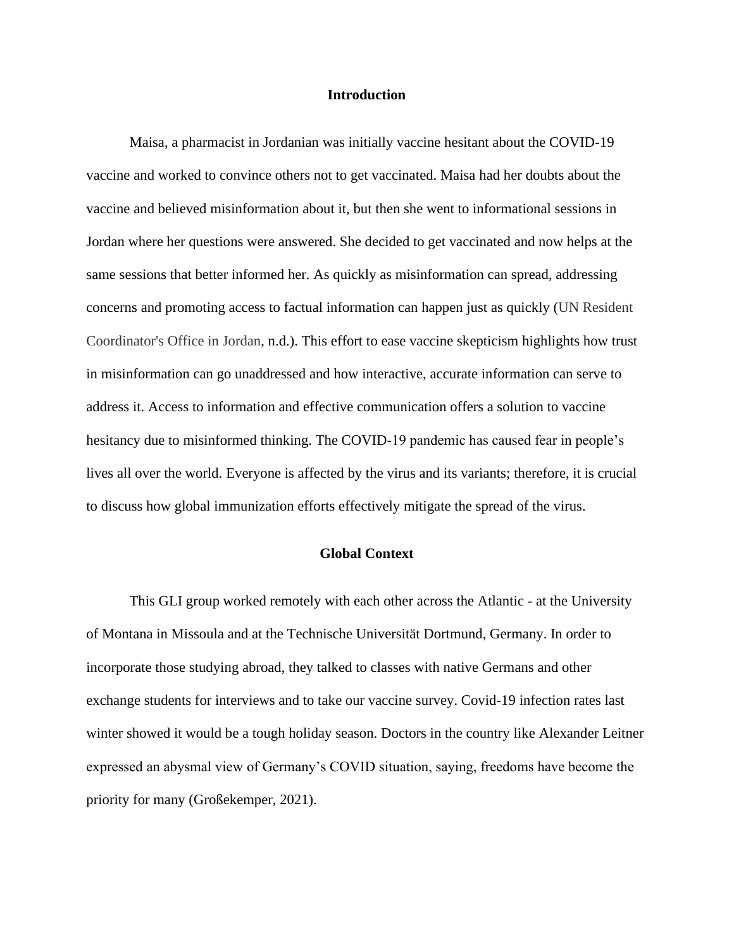#### **Introduction**

Maisa, a pharmacist in Jordanian was initially vaccine hesitant about the COVID-19 vaccine and worked to convince others not to get vaccinated. Maisa had her doubts about the vaccine and believed misinformation about it, but then she went to informational sessions in Jordan where her questions were answered. She decided to get vaccinated and now helps at the same sessions that better informed her. As quickly as misinformation can spread, addressing concerns and promoting access to factual information can happen just as quickly (UN Resident Coordinator's Office in Jordan, n.d.). This effort to ease vaccine skepticism highlights how trust in misinformation can go unaddressed and how interactive, accurate information can serve to address it. Access to information and effective communication offers a solution to vaccine hesitancy due to misinformed thinking. The COVID-19 pandemic has caused fear in people's lives all over the world. Everyone is affected by the virus and its variants; therefore, it is crucial to discuss how global immunization efforts effectively mitigate the spread of the virus.

#### **Global Context**

This GLI group worked remotely with each other across the Atlantic - at the University of Montana in Missoula and at the Technische Universität Dortmund, Germany. In order to incorporate those studying abroad, they talked to classes with native Germans and other exchange students for interviews and to take our vaccine survey. Covid-19 infection rates last winter showed it would be a tough holiday season. Doctors in the country like Alexander Leitner expressed an abysmal view of Germany's COVID situation, saying, freedoms have become the priority for many (Großekemper, 2021).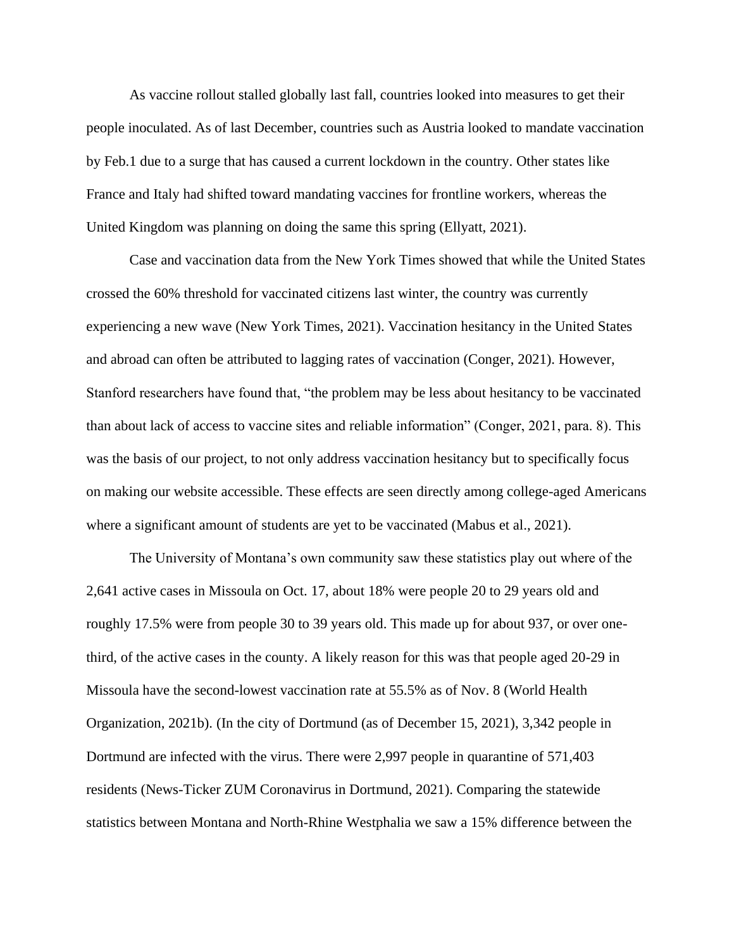As vaccine rollout stalled globally last fall, countries looked into measures to get their people inoculated. As of last December, countries such as Austria looked to mandate vaccination by Feb.1 due to a surge that has caused a current lockdown in the country. Other states like France and Italy had shifted toward mandating vaccines for frontline workers, whereas the United Kingdom was planning on doing the same this spring (Ellyatt, 2021).

Case and vaccination data from the New York Times showed that while the United States crossed the 60% threshold for vaccinated citizens last winter, the country was currently experiencing a new wave (New York Times, 2021). Vaccination hesitancy in the United States and abroad can often be attributed to lagging rates of vaccination (Conger, 2021). However, Stanford researchers have found that, "the problem may be less about hesitancy to be vaccinated than about lack of access to vaccine sites and reliable information" (Conger, 2021, para. 8). This was the basis of our project, to not only address vaccination hesitancy but to specifically focus on making our website accessible. These effects are seen directly among college-aged Americans where a significant amount of students are yet to be vaccinated (Mabus et al., 2021).

The University of Montana's own community saw these statistics play out where of the 2,641 active cases in Missoula on Oct. 17, about 18% were people 20 to 29 years old and roughly 17.5% were from people 30 to 39 years old. This made up for about 937, or over onethird, of the active cases in the county. A likely reason for this was that people aged 20-29 in Missoula have the second-lowest vaccination rate at 55.5% as of Nov. 8 (World Health Organization, 2021b). (In the city of Dortmund (as of December 15, 2021), 3,342 people in Dortmund are infected with the virus. There were 2,997 people in quarantine of 571,403 residents (News-Ticker ZUM Coronavirus in Dortmund, 2021). Comparing the statewide statistics between Montana and North-Rhine Westphalia we saw a 15% difference between the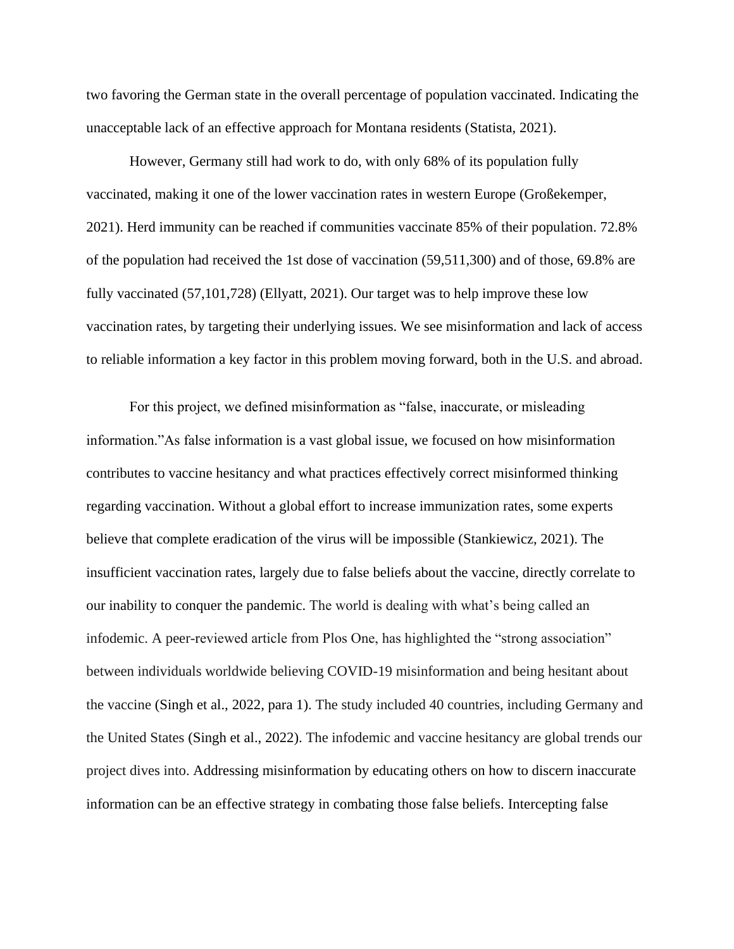two favoring the German state in the overall percentage of population vaccinated. Indicating the unacceptable lack of an effective approach for Montana residents (Statista, 2021).

However, Germany still had work to do, with only 68% of its population fully vaccinated, making it one of the lower vaccination rates in western Europe (Großekemper, 2021). Herd immunity can be reached if communities vaccinate 85% of their population. 72.8% of the population had received the 1st dose of vaccination (59,511,300) and of those, 69.8% are fully vaccinated (57,101,728) (Ellyatt, 2021). Our target was to help improve these low vaccination rates, by targeting their underlying issues. We see misinformation and lack of access to reliable information a key factor in this problem moving forward, both in the U.S. and abroad.

For this project, we defined misinformation as "false, inaccurate, or misleading information."As false information is a vast global issue, we focused on how misinformation contributes to vaccine hesitancy and what practices effectively correct misinformed thinking regarding vaccination. Without a global effort to increase immunization rates, some experts believe that complete eradication of the virus will be impossible [\(Stankiewicz,](https://www.cnbc.com/kevin-stankiewicz/) 2021). The insufficient vaccination rates, largely due to false beliefs about the vaccine, directly correlate to our inability to conquer the pandemic. The world is dealing with what's being called an infodemic. A peer-reviewed article from Plos One, has highlighted the "strong association" between individuals worldwide believing COVID-19 misinformation and being hesitant about the vaccine (Singh et al., 2022, para 1). The study included 40 countries, including Germany and the United States (Singh et al., 2022). The infodemic and vaccine hesitancy are global trends our project dives into. Addressing misinformation by educating others on how to discern inaccurate information can be an effective strategy in combating those false beliefs. Intercepting false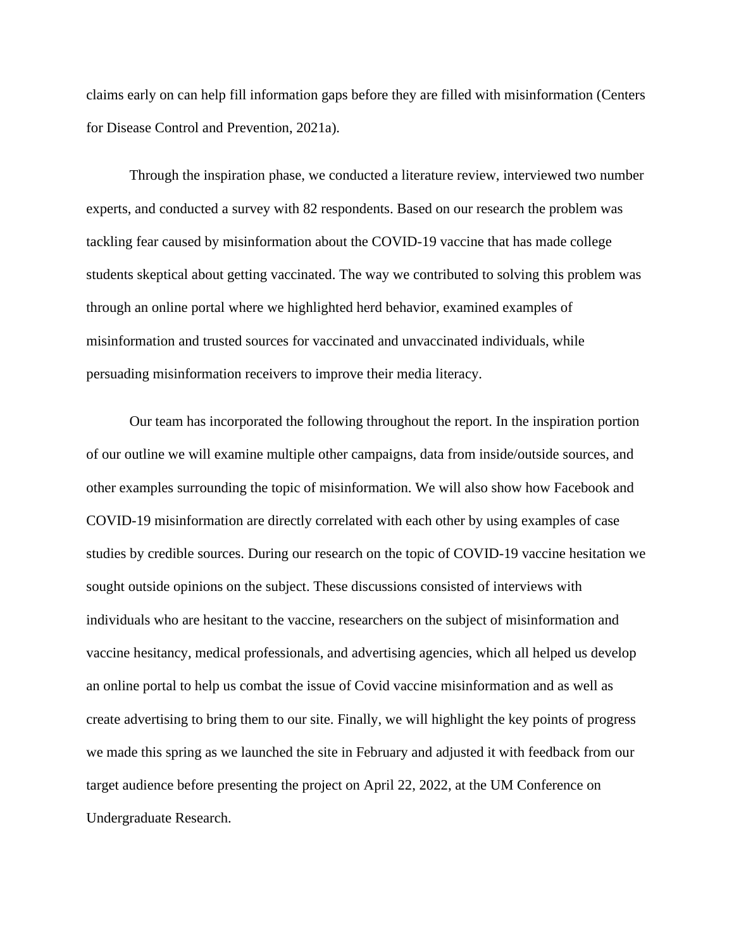claims early on can help fill information gaps before they are filled with misinformation (Centers for Disease Control and Prevention, 2021a).

Through the inspiration phase, we conducted a literature review, interviewed two number experts, and conducted a survey with 82 respondents. Based on our research the problem was tackling fear caused by misinformation about the COVID-19 vaccine that has made college students skeptical about getting vaccinated. The way we contributed to solving this problem was through an online portal where we highlighted herd behavior, examined examples of misinformation and trusted sources for vaccinated and unvaccinated individuals, while persuading misinformation receivers to improve their media literacy.

Our team has incorporated the following throughout the report. In the inspiration portion of our outline we will examine multiple other campaigns, data from inside/outside sources, and other examples surrounding the topic of misinformation. We will also show how Facebook and COVID-19 misinformation are directly correlated with each other by using examples of case studies by credible sources. During our research on the topic of COVID-19 vaccine hesitation we sought outside opinions on the subject. These discussions consisted of interviews with individuals who are hesitant to the vaccine, researchers on the subject of misinformation and vaccine hesitancy, medical professionals, and advertising agencies, which all helped us develop an online portal to help us combat the issue of Covid vaccine misinformation and as well as create advertising to bring them to our site. Finally, we will highlight the key points of progress we made this spring as we launched the site in February and adjusted it with feedback from our target audience before presenting the project on April 22, 2022, at the UM Conference on Undergraduate Research.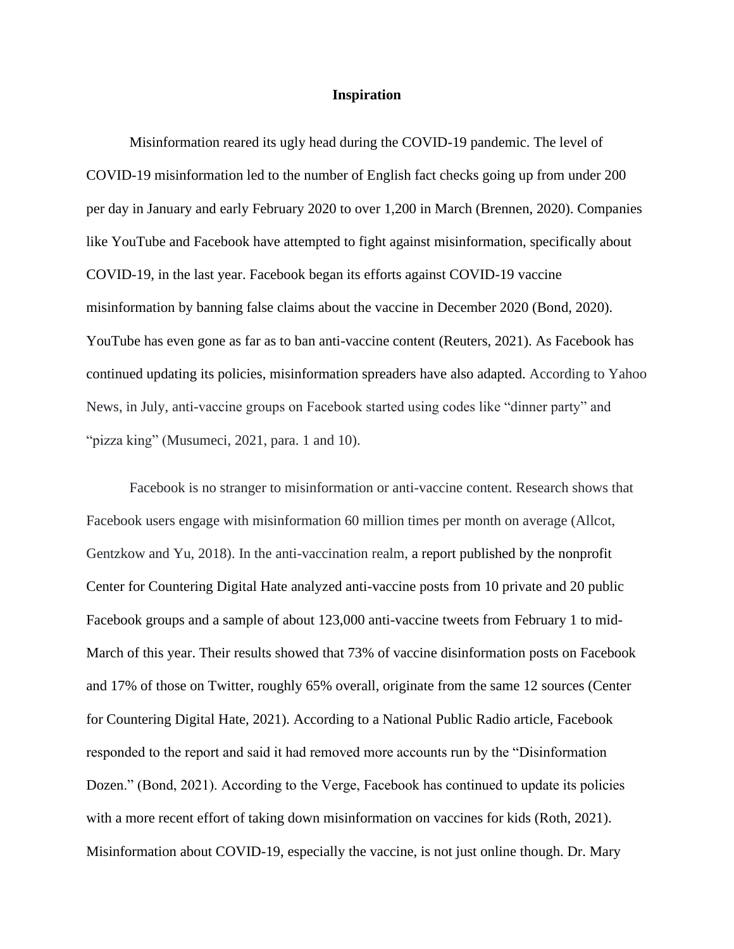#### **Inspiration**

Misinformation reared its ugly head during the COVID-19 pandemic. The level of COVID-19 misinformation led to the number of English fact checks going up from under 200 per day in January and early February 2020 to over 1,200 in March (Brennen, 2020). Companies like YouTube and Facebook have attempted to fight against misinformation, specifically about COVID-19, in the last year. Facebook began its efforts against COVID-19 vaccine misinformation by banning false claims about the vaccine in December 2020 (Bond, 2020). YouTube has even gone as far as [t](https://www.reuters.com/technology/youtube-blocks-all-anti-vaccine-content-washington-post-2021-09-29/)o ban anti-vaccine content (Reuters, 2021). As Facebook has continued updating its policies, misinformation spreaders have also adapted. According to Yahoo News, in July, anti-vaccine groups on Facebook started using codes like "dinner party" and "pizza king" (Musumeci, 2021, para. 1 and 10).

Facebook is no stranger to misinformation or anti-vaccine content. Research shows that Facebook users engage with misinformation 60 million times per month on average (Allcot, Gentzkow and Yu, 2018). In the anti-vaccination realm, a report published by the nonprofit Center for Countering Digital Hate analyzed anti-vaccine posts from 10 private and 20 public Facebook groups and a sample of about 123,000 anti-vaccine tweets from February 1 to mid-March of this year. Their results showed that 73% of vaccine disinformation posts on Facebook and 17% of those on Twitter, roughly 65% overall, originate from the same 12 sources (Center for Countering Digital Hate, 2021). According to a National Public Radio article, Facebook responded to the report and said it had removed more accounts run by the "Disinformation Dozen." (Bond, 2021). According to the Verge, Facebook has continued to update its policies with a more recent effort of taking down misinformation on vaccines for kids (Roth, 2021). Misinformation about COVID-19, especially the vaccine, is not just online though. Dr. Mary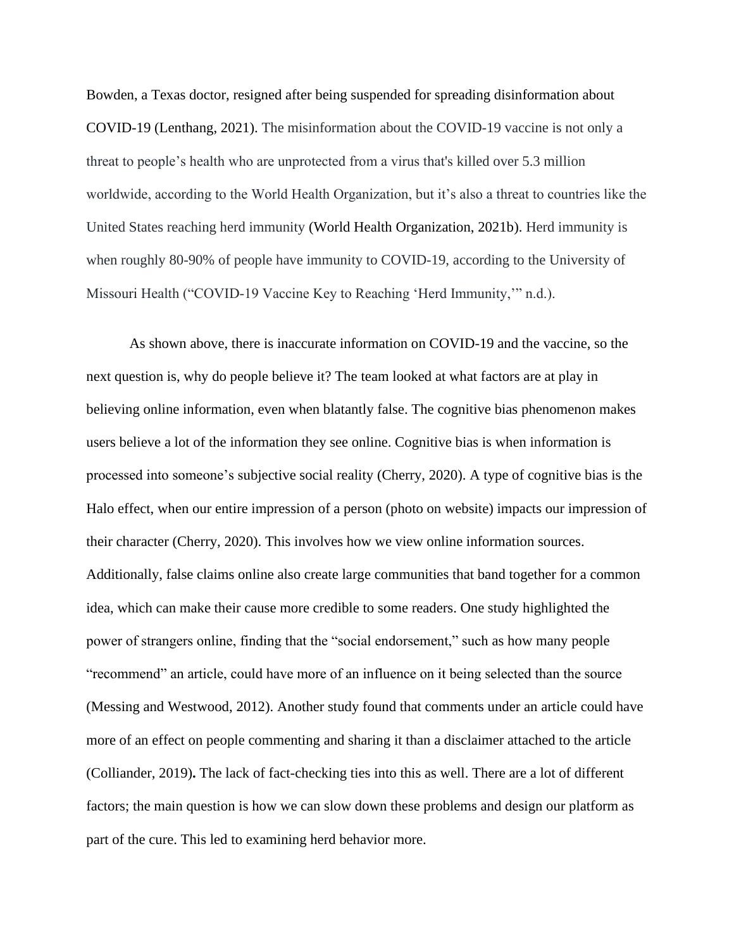Bowden, a Texas doctor, resigned after being suspended for spreading disinformation about COVID-19 (Lenthang, 2021). The misinformation about the COVID-19 vaccine is not only a threat to people's health who are unprotected from a virus that's killed over 5.3 million worldwide, according to the World Health Organization, but it's also a threat to countries like the United States reaching herd immunity (World Health Organization, 2021b). Herd immunity is when roughly 80-90% of people have immunity to COVID-19, according to the University of Missouri Health ("COVID-19 Vaccine Key to Reaching 'Herd Immunity,'" n.d.).

As shown above, there is inaccurate information on COVID-19 and the vaccine, so the next question is, why do people believe it? The team looked at what factors are at play in believing online information, even when blatantly false. The cognitive bias phenomenon makes users believe a lot of the information they see online. Cognitive bias is when information is processed into someone's subjective social reality (Cherry, 2020). A type of cognitive bias is the Halo effect, when our entire impression of a person (photo on website) impacts our impression of their character (Cherry, 2020). This involves how we view online information sources. Additionally, false claims online also create large communities that band together for a common idea, which can make their cause more credible to some readers. One study highlighted the power of strangers online, finding that the "social endorsement," such as how many people "recommend" an article, could have more of an influence on it being selected than the source (Messing and Westwood, 2012). Another study found that comments under an article could have more of an effect on people commenting and sharing it than a disclaimer attached to the article (Colliander, 2019)**.** The lack of fact-checking ties into this as well. There are a lot of different factors; the main question is how we can slow down these problems and design our platform as part of the cure. This led to examining herd behavior more.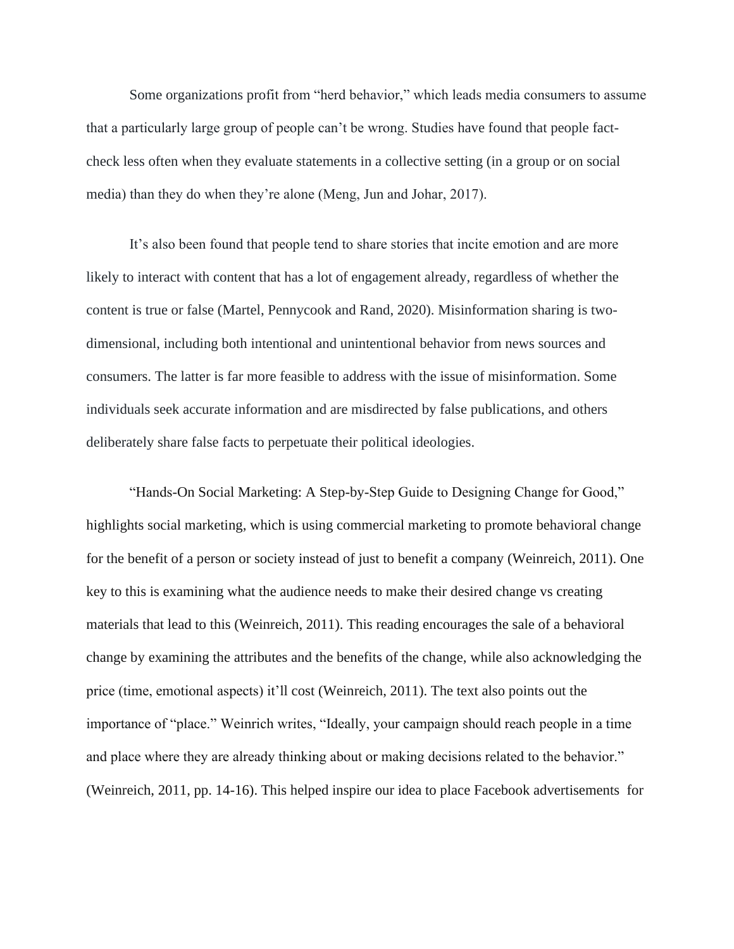Some organizations profit from "herd behavior," which leads media consumers to assume that a particularly large group of people can't be wrong. Studies have found that people factcheck less often when they evaluate statements in a collective setting (in a group or on social media) than they do when they're alone (Meng, Jun and Johar, 2017).

It's also been found that people tend to share stories that incite emotion and are more likely to interact with content that has a lot of engagement already, regardless of whether the content is true or false (Martel, Pennycook and Rand, 2020). Misinformation sharing is twodimensional, including both intentional and unintentional behavior from news sources and consumers. The latter is far more feasible to address with the issue of misinformation. Some individuals seek accurate information and are misdirected by false publications, and others deliberately share false facts to perpetuate their political ideologies.

"Hands-On Social Marketing: A Step-by-Step Guide to Designing Change for Good," highlights social marketing, which is using commercial marketing to promote behavioral change for the benefit of a person or society instead of just to benefit a company (Weinreich, 2011). One key to this is examining what the audience needs to make their desired change vs creating materials that lead to this (Weinreich, 2011). This reading encourages the sale of a behavioral change by examining the attributes and the benefits of the change, while also acknowledging the price (time, emotional aspects) it'll cost (Weinreich, 2011). The text also points out the importance of "place." Weinrich writes, "Ideally, your campaign should reach people in a time and place where they are already thinking about or making decisions related to the behavior." (Weinreich, 2011, pp. 14-16). This helped inspire our idea to place Facebook advertisements for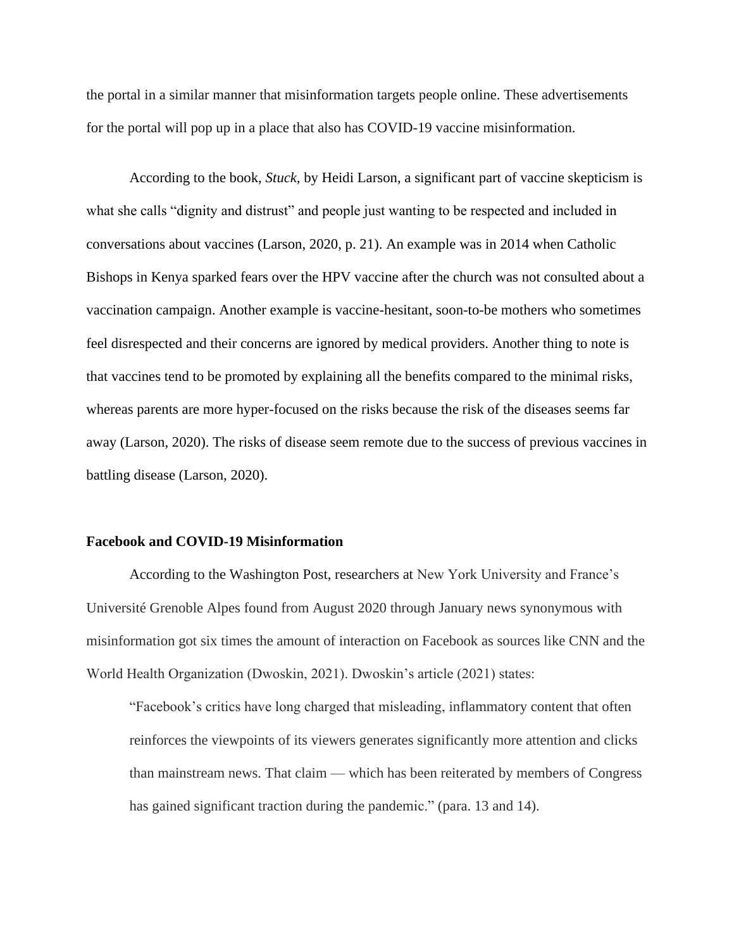the portal in a similar manner that misinformation targets people online. These advertisements for the portal will pop up in a place that also has COVID-19 vaccine misinformation.

According to the book, *Stuck,* by Heidi Larson, a significant part of vaccine skepticism is what she calls "dignity and distrust" and people just wanting to be respected and included in conversations about vaccines (Larson, 2020, p. 21). An example was in 2014 when Catholic Bishops in Kenya sparked fears over the HPV vaccine after the church was not consulted about a vaccination campaign. Another example is vaccine-hesitant, soon-to-be mothers who sometimes feel disrespected and their concerns are ignored by medical providers. Another thing to note is that vaccines tend to be promoted by explaining all the benefits compared to the minimal risks, whereas parents are more hyper-focused on the risks because the risk of the diseases seems far away (Larson, 2020). The risks of disease seem remote due to the success of previous vaccines in battling disease (Larson, 2020).

#### **Facebook and COVID-19 Misinformation**

According to the Washington Post, researchers at New York University and France's Université Grenoble Alpes found from August 2020 through January news synonymous with misinformation got six times the amount of interaction on Facebook as sources like CNN and the World Health Organization (Dwoskin, 2021). Dwoskin's article (2021) states:

"Facebook's critics have long charged that misleading, inflammatory content that often reinforces the viewpoints of its viewers generates significantly more attention and clicks than mainstream news. That claim — which has been reiterated by members of Congress has gained significant traction during the pandemic." (para. 13 and 14).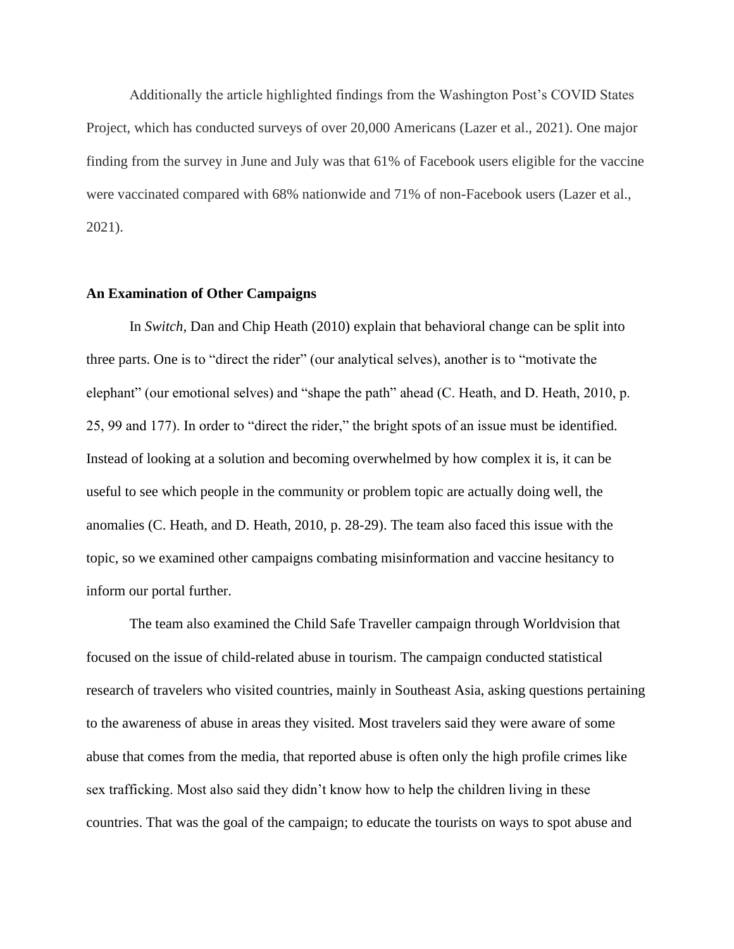Additionally the article highlighted findings from the Washington Post's COVID States Project, which has conducted surveys of over 20,000 Americans (Lazer et al., 2021). One major finding from the survey in June and July was that 61% of Facebook users eligible for the vaccine were vaccinated compared with 68% nationwide and 71% of non-Facebook users (Lazer et al., 2021).

#### **An Examination of Other Campaigns**

In *Switch,* Dan and Chip Heath (2010) explain that behavioral change can be split into three parts. One is to "direct the rider" (our analytical selves), another is to "motivate the elephant" (our emotional selves) and "shape the path" ahead (C. Heath, and D. Heath, 2010, p. 25, 99 and 177). In order to "direct the rider," the bright spots of an issue must be identified. Instead of looking at a solution and becoming overwhelmed by how complex it is, it can be useful to see which people in the community or problem topic are actually doing well, the anomalies (C. Heath, and D. Heath, 2010, p. 28-29). The team also faced this issue with the topic, so we examined other campaigns combating misinformation and vaccine hesitancy to inform our portal further.

The team also examined the Child Safe Traveller campaign through Worldvision that focused on the issue of child-related abuse in tourism. The campaign conducted statistical research of travelers who visited countries, mainly in Southeast Asia, asking questions pertaining to the awareness of abuse in areas they visited. Most travelers said they were aware of some abuse that comes from the media, that reported abuse is often only the high profile crimes like sex trafficking. Most also said they didn't know how to help the children living in these countries. That was the goal of the campaign; to educate the tourists on ways to spot abuse and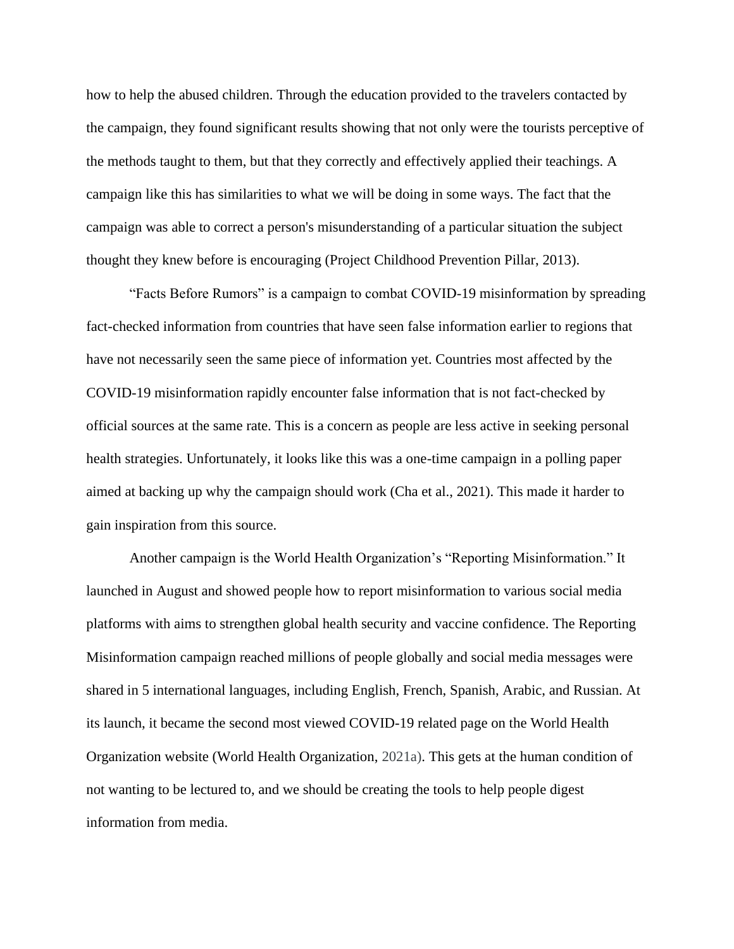how to help the abused children. Through the education provided to the travelers contacted by the campaign, they found significant results showing that not only were the tourists perceptive of the methods taught to them, but that they correctly and effectively applied their teachings. A campaign like this has similarities to what we will be doing in some ways. The fact that the campaign was able to correct a person's misunderstanding of a particular situation the subject thought they knew before is encouraging (Project Childhood Prevention Pillar, 2013).

"Facts Before Rumors" is a campaign to combat COVID-19 misinformation by spreading fact-checked information from countries that have seen false information earlier to regions that have not necessarily seen the same piece of information yet. Countries most affected by the COVID-19 misinformation rapidly encounter false information that is not fact-checked by official sources at the same rate. This is a concern as people are less active in seeking personal health strategies. Unfortunately, it looks like this was a one-time campaign in a polling paper aimed at backing up why the campaign should work (Cha et al., 2021). This made it harder to gain inspiration from this source.

Another campaign is the World Health Organization's "Reporting Misinformation." It launched in August and showed people how to report misinformation to various social media platforms with aims to strengthen global health security and vaccine confidence. The Reporting Misinformation campaign reached millions of people globally and social media messages were shared in 5 international languages, including English, French, Spanish, Arabic, and Russian. At its launch, it became the second most viewed COVID-19 related page on the World Health Organization website (World Health Organization, 2021a). This gets at the human condition of not wanting to be lectured to, and we should be creating the tools to help people digest information from media.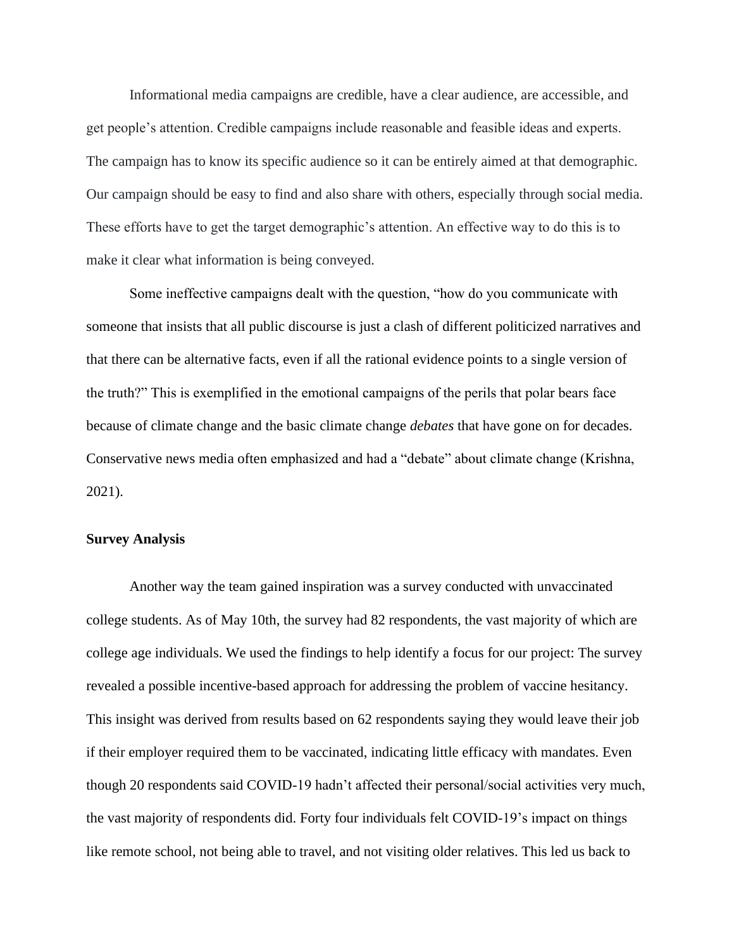Informational media campaigns are credible, have a clear audience, are accessible, and get people's attention. Credible campaigns include reasonable and feasible ideas and experts. The campaign has to know its specific audience so it can be entirely aimed at that demographic. Our campaign should be easy to find and also share with others, especially through social media. These efforts have to get the target demographic's attention. An effective way to do this is to make it clear what information is being conveyed.

Some ineffective campaigns dealt with the question, "how do you communicate with someone that insists that all public discourse is just a clash of different politicized narratives and that there can be alternative facts, even if all the rational evidence points to a single version of the truth?" This is exemplified in the emotional campaigns of the perils that polar bears face because of climate change and the basic climate change *debates* that have gone on for decades. Conservative news media often emphasized and had a "debate" about climate change (Krishna, 2021).

# **Survey Analysis**

Another way the team gained inspiration was a survey conducted with unvaccinated college students. As of May 10th, the survey had 82 respondents, the vast majority of which are college age individuals. We used the findings to help identify a focus for our project: The survey revealed a possible incentive-based approach for addressing the problem of vaccine hesitancy. This insight was derived from results based on 62 respondents saying they would leave their job if their employer required them to be vaccinated, indicating little efficacy with mandates. Even though 20 respondents said COVID-19 hadn't affected their personal/social activities very much, the vast majority of respondents did. Forty four individuals felt COVID-19's impact on things like remote school, not being able to travel, and not visiting older relatives. This led us back to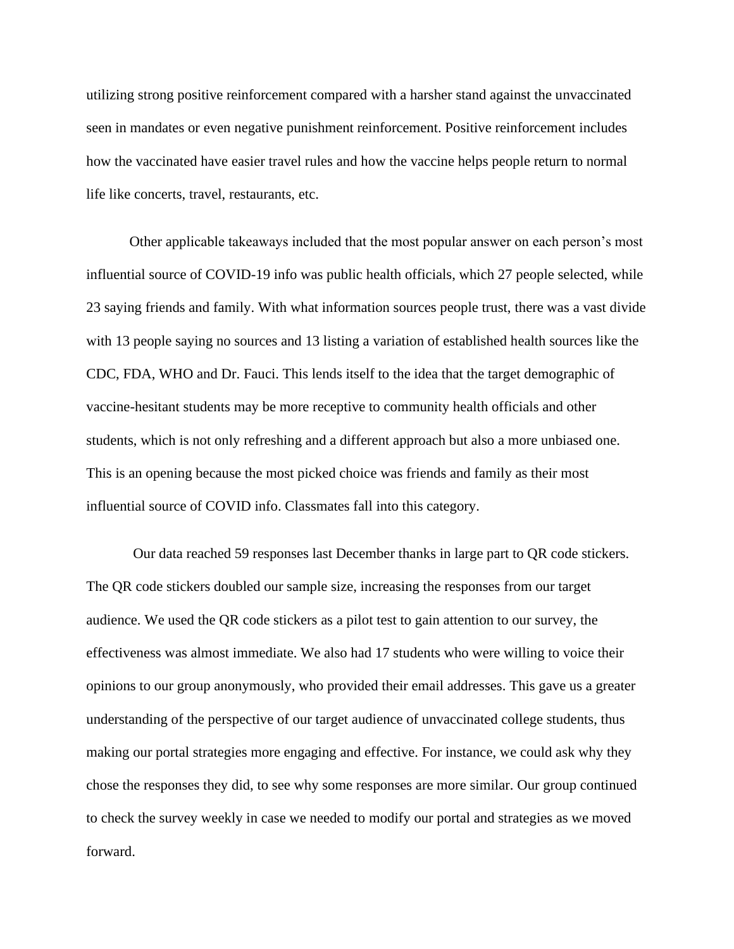utilizing strong positive reinforcement compared with a harsher stand against the unvaccinated seen in mandates or even negative punishment reinforcement. Positive reinforcement includes how the vaccinated have easier travel rules and how the vaccine helps people return to normal life like concerts, travel, restaurants, etc.

Other applicable takeaways included that the most popular answer on each person's most influential source of COVID-19 info was public health officials, which 27 people selected, while 23 saying friends and family. With what information sources people trust, there was a vast divide with 13 people saying no sources and 13 listing a variation of established health sources like the CDC, FDA, WHO and Dr. Fauci. This lends itself to the idea that the target demographic of vaccine-hesitant students may be more receptive to community health officials and other students, which is not only refreshing and a different approach but also a more unbiased one. This is an opening because the most picked choice was friends and family as their most influential source of COVID info. Classmates fall into this category.

Our data reached 59 responses last December thanks in large part to QR code stickers. The QR code stickers doubled our sample size, increasing the responses from our target audience. We used the QR code stickers as a pilot test to gain attention to our survey, the effectiveness was almost immediate. We also had 17 students who were willing to voice their opinions to our group anonymously, who provided their email addresses. This gave us a greater understanding of the perspective of our target audience of unvaccinated college students, thus making our portal strategies more engaging and effective. For instance, we could ask why they chose the responses they did, to see why some responses are more similar. Our group continued to check the survey weekly in case we needed to modify our portal and strategies as we moved forward.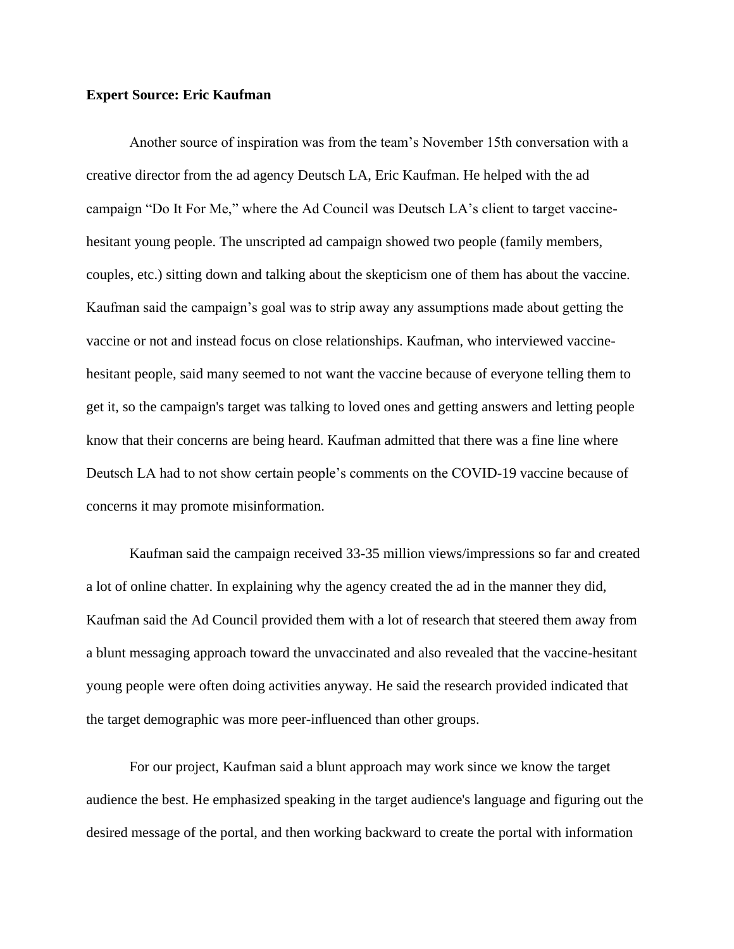# **Expert Source: Eric Kaufman**

Another source of inspiration was from the team's November 15th conversation with a creative director from the ad agency Deutsch LA, Eric Kaufman. He helped with the ad campaign "Do It For Me," where the Ad Council was Deutsch LA's client to target vaccinehesitant young people. The unscripted ad campaign showed two people (family members, couples, etc.) sitting down and talking about the skepticism one of them has about the vaccine. Kaufman said the campaign's goal was to strip away any assumptions made about getting the vaccine or not and instead focus on close relationships. Kaufman, who interviewed vaccinehesitant people, said many seemed to not want the vaccine because of everyone telling them to get it, so the campaign's target was talking to loved ones and getting answers and letting people know that their concerns are being heard. Kaufman admitted that there was a fine line where Deutsch LA had to not show certain people's comments on the COVID-19 vaccine because of concerns it may promote misinformation.

Kaufman said the campaign received 33-35 million views/impressions so far and created a lot of online chatter. In explaining why the agency created the ad in the manner they did, Kaufman said the Ad Council provided them with a lot of research that steered them away from a blunt messaging approach toward the unvaccinated and also revealed that the vaccine-hesitant young people were often doing activities anyway. He said the research provided indicated that the target demographic was more peer-influenced than other groups.

For our project, Kaufman said a blunt approach may work since we know the target audience the best. He emphasized speaking in the target audience's language and figuring out the desired message of the portal, and then working backward to create the portal with information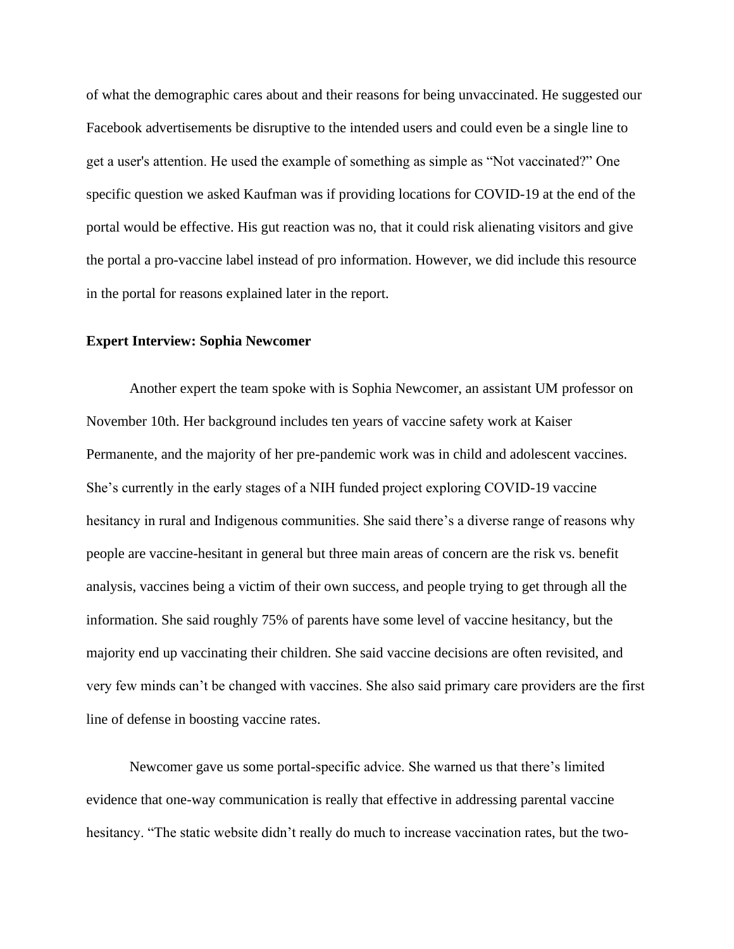of what the demographic cares about and their reasons for being unvaccinated. He suggested our Facebook advertisements be disruptive to the intended users and could even be a single line to get a user's attention. He used the example of something as simple as "Not vaccinated?" One specific question we asked Kaufman was if providing locations for COVID-19 at the end of the portal would be effective. His gut reaction was no, that it could risk alienating visitors and give the portal a pro-vaccine label instead of pro information. However, we did include this resource in the portal for reasons explained later in the report.

#### **Expert Interview: Sophia Newcomer**

Another expert the team spoke with is Sophia Newcomer, an assistant UM professor on November 10th. Her background includes ten years of vaccine safety work at Kaiser Permanente, and the majority of her pre-pandemic work was in child and adolescent vaccines. She's currently in the early stages of a NIH funded project exploring COVID-19 vaccine hesitancy in rural and Indigenous communities. She said there's a diverse range of reasons why people are vaccine-hesitant in general but three main areas of concern are the risk vs. benefit analysis, vaccines being a victim of their own success, and people trying to get through all the information. She said roughly 75% of parents have some level of vaccine hesitancy, but the majority end up vaccinating their children. She said vaccine decisions are often revisited, and very few minds can't be changed with vaccines. She also said primary care providers are the first line of defense in boosting vaccine rates.

Newcomer gave us some portal-specific advice. She warned us that there's limited evidence that one-way communication is really that effective in addressing parental vaccine hesitancy. "The static website didn't really do much to increase vaccination rates, but the two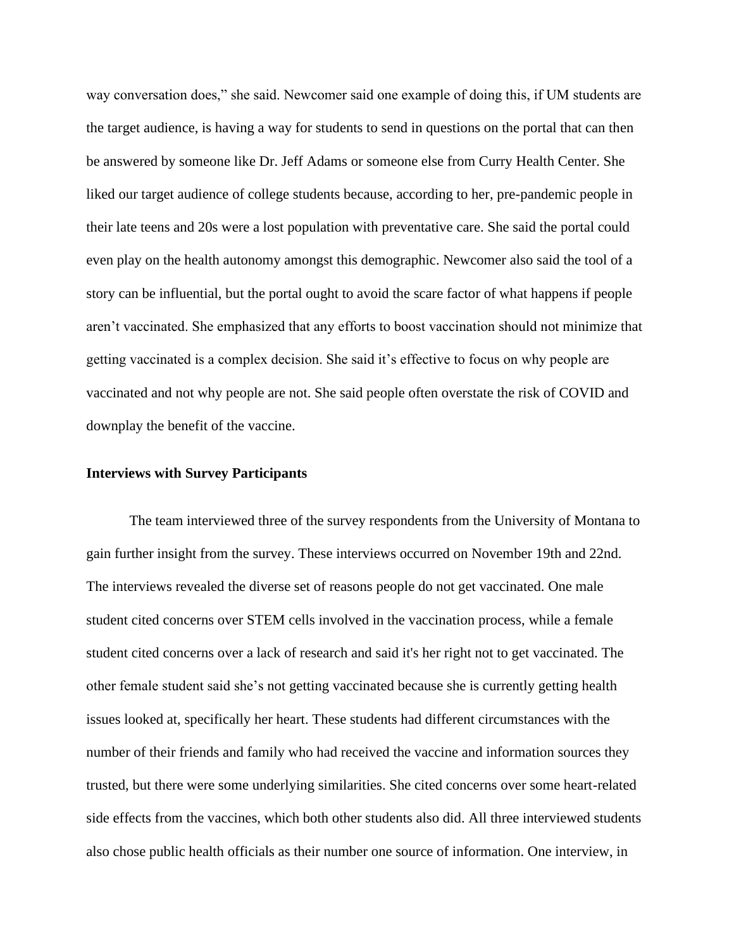way conversation does," she said. Newcomer said one example of doing this, if UM students are the target audience, is having a way for students to send in questions on the portal that can then be answered by someone like Dr. Jeff Adams or someone else from Curry Health Center. She liked our target audience of college students because, according to her, pre-pandemic people in their late teens and 20s were a lost population with preventative care. She said the portal could even play on the health autonomy amongst this demographic. Newcomer also said the tool of a story can be influential, but the portal ought to avoid the scare factor of what happens if people aren't vaccinated. She emphasized that any efforts to boost vaccination should not minimize that getting vaccinated is a complex decision. She said it's effective to focus on why people are vaccinated and not why people are not. She said people often overstate the risk of COVID and downplay the benefit of the vaccine.

#### **Interviews with Survey Participants**

The team interviewed three of the survey respondents from the University of Montana to gain further insight from the survey. These interviews occurred on November 19th and 22nd. The interviews revealed the diverse set of reasons people do not get vaccinated. One male student cited concerns over STEM cells involved in the vaccination process, while a female student cited concerns over a lack of research and said it's her right not to get vaccinated. The other female student said she's not getting vaccinated because she is currently getting health issues looked at, specifically her heart. These students had different circumstances with the number of their friends and family who had received the vaccine and information sources they trusted, but there were some underlying similarities. She cited concerns over some heart-related side effects from the vaccines, which both other students also did. All three interviewed students also chose public health officials as their number one source of information. One interview, in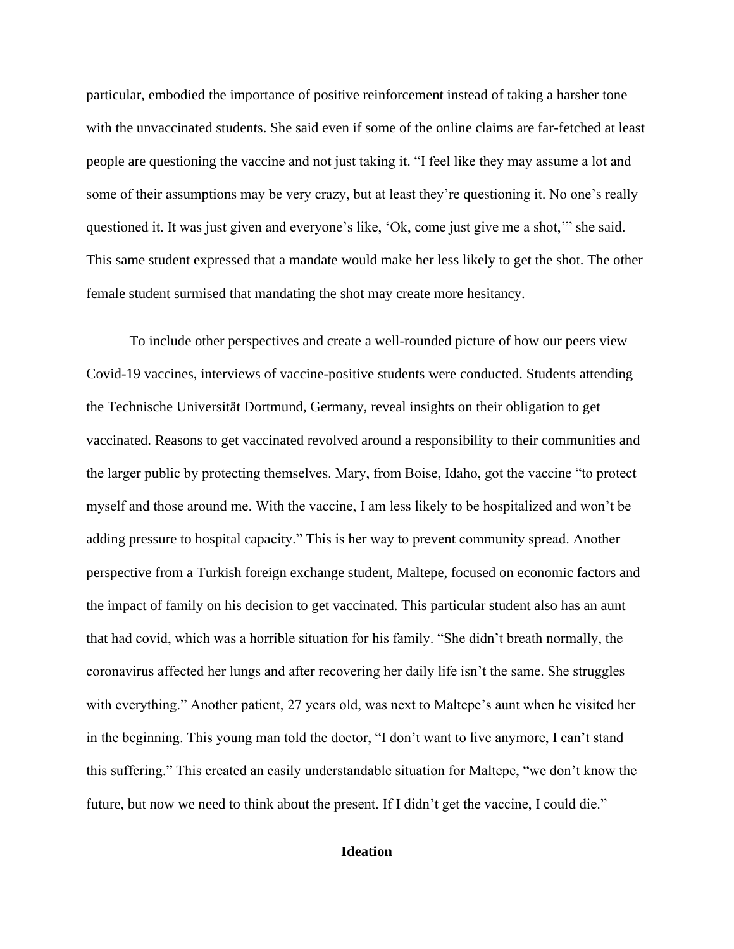particular, embodied the importance of positive reinforcement instead of taking a harsher tone with the unvaccinated students. She said even if some of the online claims are far-fetched at least people are questioning the vaccine and not just taking it. "I feel like they may assume a lot and some of their assumptions may be very crazy, but at least they're questioning it. No one's really questioned it. It was just given and everyone's like, 'Ok, come just give me a shot,'" she said. This same student expressed that a mandate would make her less likely to get the shot. The other female student surmised that mandating the shot may create more hesitancy.

To include other perspectives and create a well-rounded picture of how our peers view Covid-19 vaccines, interviews of vaccine-positive students were conducted. Students attending the Technische Universität Dortmund, Germany, reveal insights on their obligation to get vaccinated. Reasons to get vaccinated revolved around a responsibility to their communities and the larger public by protecting themselves. Mary, from Boise, Idaho, got the vaccine "to protect myself and those around me. With the vaccine, I am less likely to be hospitalized and won't be adding pressure to hospital capacity." This is her way to prevent community spread. Another perspective from a Turkish foreign exchange student, Maltepe, focused on economic factors and the impact of family on his decision to get vaccinated. This particular student also has an aunt that had covid, which was a horrible situation for his family. "She didn't breath normally, the coronavirus affected her lungs and after recovering her daily life isn't the same. She struggles with everything." Another patient, 27 years old, was next to Maltepe's aunt when he visited her in the beginning. This young man told the doctor, "I don't want to live anymore, I can't stand this suffering." This created an easily understandable situation for Maltepe, "we don't know the future, but now we need to think about the present. If I didn't get the vaccine, I could die."

# **Ideation**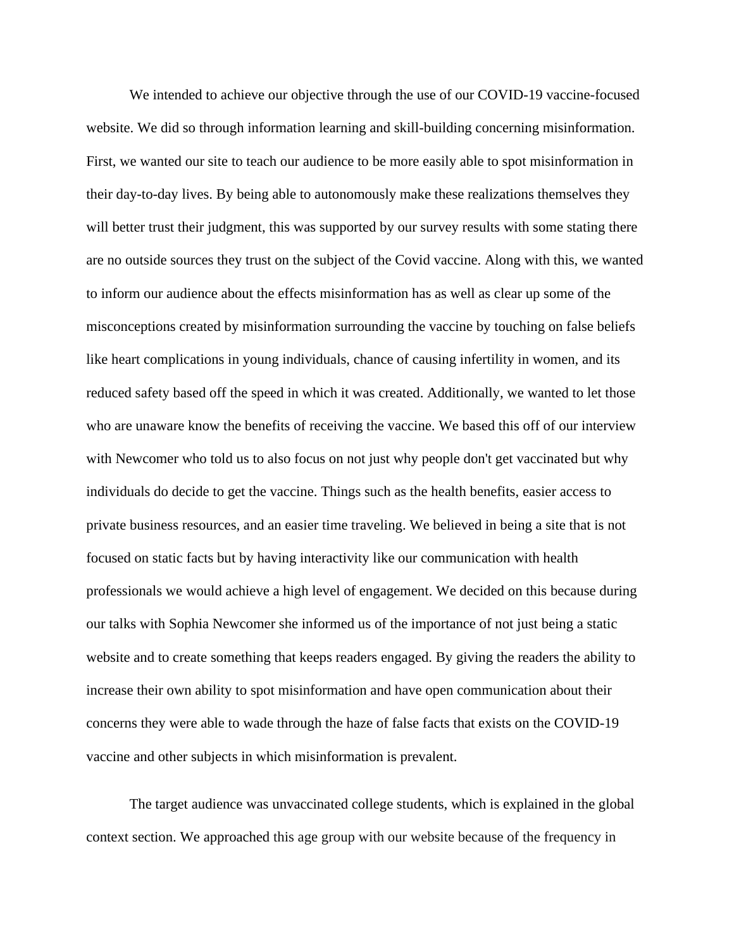We intended to achieve our objective through the use of our COVID-19 vaccine-focused website. We did so through information learning and skill-building concerning misinformation. First, we wanted our site to teach our audience to be more easily able to spot misinformation in their day-to-day lives. By being able to autonomously make these realizations themselves they will better trust their judgment, this was supported by our survey results with some stating there are no outside sources they trust on the subject of the Covid vaccine. Along with this, we wanted to inform our audience about the effects misinformation has as well as clear up some of the misconceptions created by misinformation surrounding the vaccine by touching on false beliefs like heart complications in young individuals, chance of causing infertility in women, and its reduced safety based off the speed in which it was created. Additionally, we wanted to let those who are unaware know the benefits of receiving the vaccine. We based this off of our interview with Newcomer who told us to also focus on not just why people don't get vaccinated but why individuals do decide to get the vaccine. Things such as the health benefits, easier access to private business resources, and an easier time traveling. We believed in being a site that is not focused on static facts but by having interactivity like our communication with health professionals we would achieve a high level of engagement. We decided on this because during our talks with Sophia Newcomer she informed us of the importance of not just being a static website and to create something that keeps readers engaged. By giving the readers the ability to increase their own ability to spot misinformation and have open communication about their concerns they were able to wade through the haze of false facts that exists on the COVID-19 vaccine and other subjects in which misinformation is prevalent.

The target audience was unvaccinated college students, which is explained in the global context section. We approached this age group with our website because of the frequency in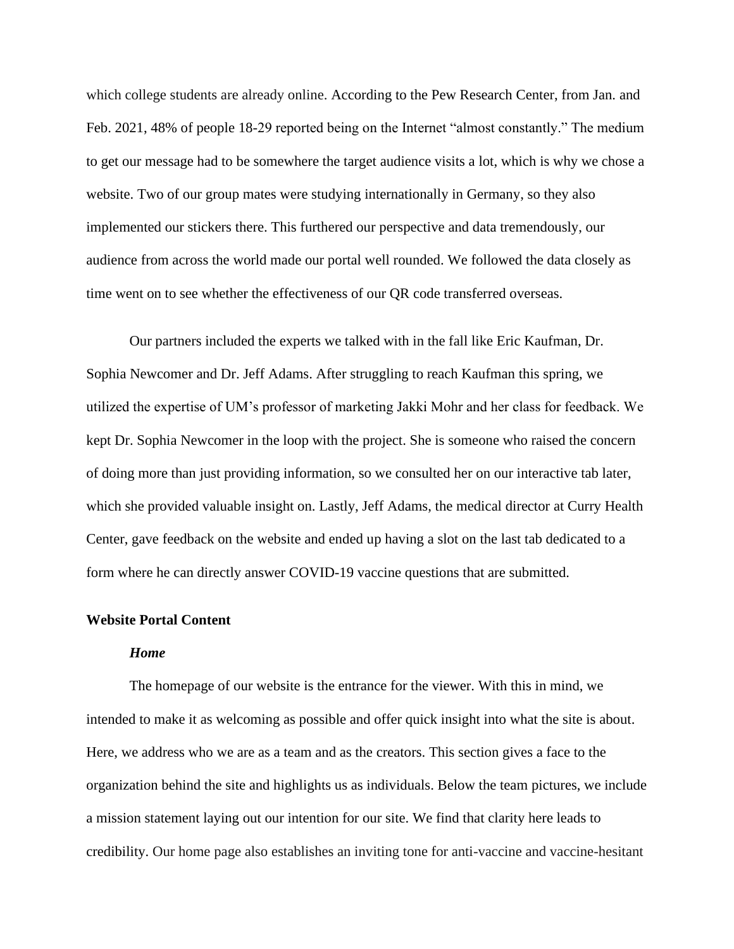which college students are already online. According to the Pew Research Center, from Jan. and Feb. 2021, 48% of people 18-29 reported being on the Internet "almost constantly." The medium to get our message had to be somewhere the target audience visits a lot, which is why we chose a website. Two of our group mates were studying internationally in Germany, so they also implemented our stickers there. This furthered our perspective and data tremendously, our audience from across the world made our portal well rounded. We followed the data closely as time went on to see whether the effectiveness of our QR code transferred overseas.

Our partners included the experts we talked with in the fall like Eric Kaufman, Dr. Sophia Newcomer and Dr. Jeff Adams. After struggling to reach Kaufman this spring, we utilized the expertise of UM's professor of marketing Jakki Mohr and her class for feedback. We kept Dr. Sophia Newcomer in the loop with the project. She is someone who raised the concern of doing more than just providing information, so we consulted her on our interactive tab later, which she provided valuable insight on. Lastly, Jeff Adams, the medical director at Curry Health Center, gave feedback on the website and ended up having a slot on the last tab dedicated to a form where he can directly answer COVID-19 vaccine questions that are submitted.

#### **Website Portal Content**

#### *Home*

The homepage of our website is the entrance for the viewer. With this in mind, we intended to make it as welcoming as possible and offer quick insight into what the site is about. Here, we address who we are as a team and as the creators. This section gives a face to the organization behind the site and highlights us as individuals. Below the team pictures, we include a mission statement laying out our intention for our site. We find that clarity here leads to credibility. Our home page also establishes an inviting tone for anti-vaccine and vaccine-hesitant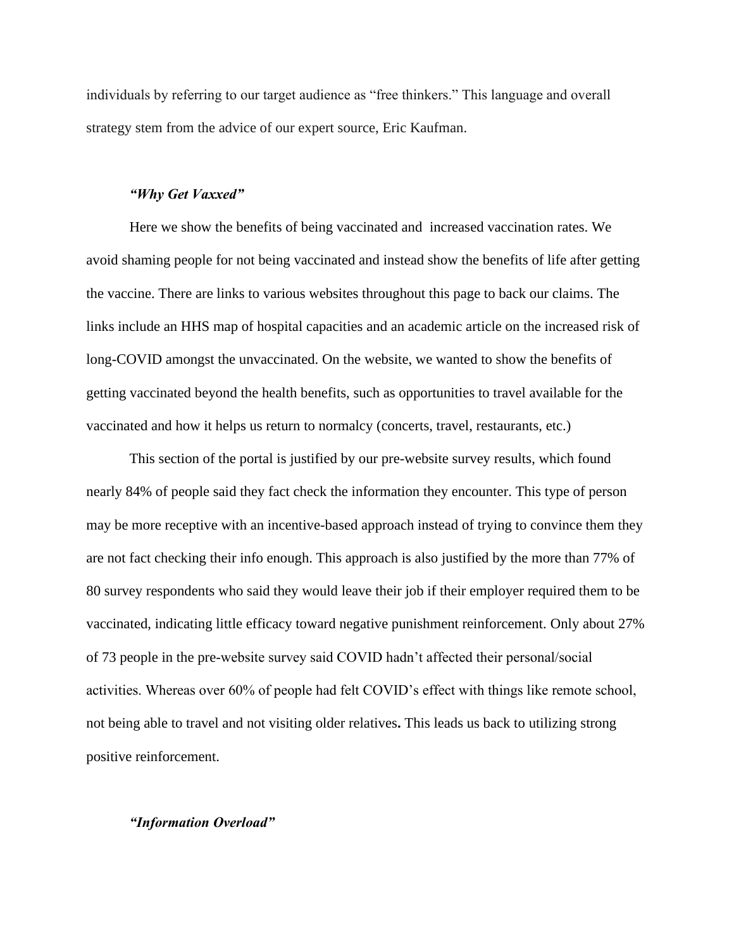individuals by referring to our target audience as "free thinkers." This language and overall strategy stem from the advice of our expert source, Eric Kaufman.

#### *"Why Get Vaxxed"*

Here we show the benefits of being vaccinated and increased vaccination rates. We avoid shaming people for not being vaccinated and instead show the benefits of life after getting the vaccine. There are links to various websites throughout this page to back our claims. The links include an HHS map of hospital capacities and an academic article on the increased risk of long-COVID amongst the unvaccinated. On the website, we wanted to show the benefits of getting vaccinated beyond the health benefits, such as opportunities to travel available for the vaccinated and how it helps us return to normalcy (concerts, travel, restaurants, etc.)

This section of the portal is justified by our pre-website survey results, which found nearly 84% of people said they fact check the information they encounter. This type of person may be more receptive with an incentive-based approach instead of trying to convince them they are not fact checking their info enough. This approach is also justified by the more than 77% of 80 survey respondents who said they would leave their job if their employer required them to be vaccinated, indicating little efficacy toward negative punishment reinforcement. Only about 27% of 73 people in the pre-website survey said COVID hadn't affected their personal/social activities. Whereas over 60% of people had felt COVID's effect with things like remote school, not being able to travel and not visiting older relatives**.** This leads us back to utilizing strong positive reinforcement.

#### *"Information Overload"*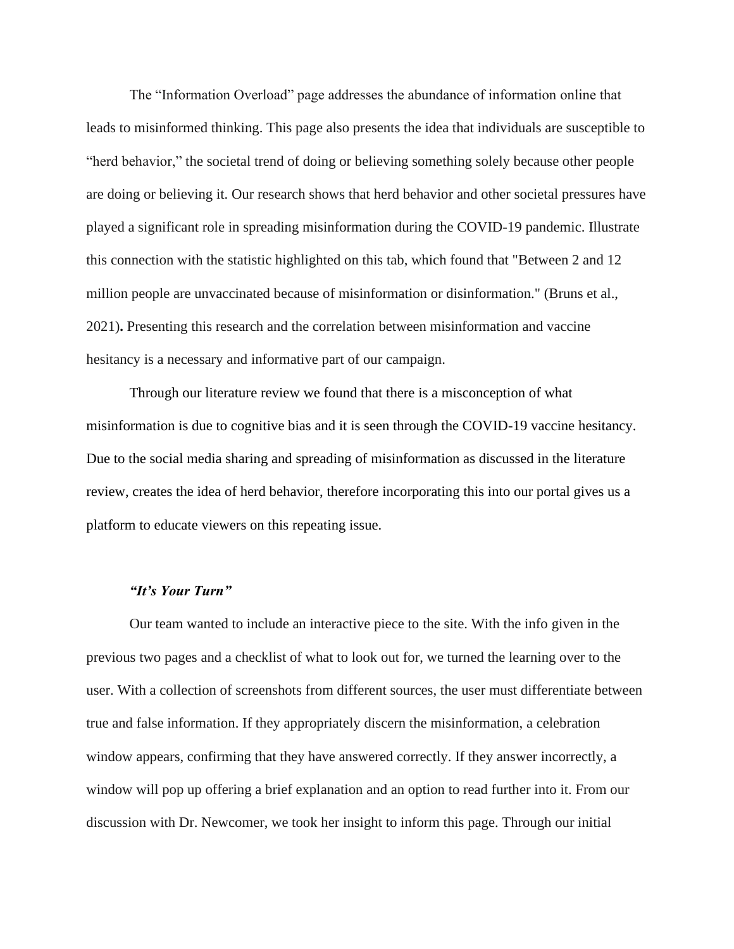The "Information Overload" page addresses the abundance of information online that leads to misinformed thinking. This page also presents the idea that individuals are susceptible to "herd behavior," the societal trend of doing or believing something solely because other people are doing or believing it. Our research shows that herd behavior and other societal pressures have played a significant role in spreading misinformation during the COVID-19 pandemic. Illustrate this connection with the statistic highlighted on this tab, which found that "Between 2 and 12 million people are unvaccinated because of misinformation or disinformation." (Bruns et al., 2021)**.** Presenting this research and the correlation between misinformation and vaccine hesitancy is a necessary and informative part of our campaign.

Through our literature review we found that there is a misconception of what misinformation is due to cognitive bias and it is seen through the COVID-19 vaccine hesitancy. Due to the social media sharing and spreading of misinformation as discussed in the literature review, creates the idea of herd behavior, therefore incorporating this into our portal gives us a platform to educate viewers on this repeating issue.

#### *"It's Your Turn"*

Our team wanted to include an interactive piece to the site. With the info given in the previous two pages and a checklist of what to look out for, we turned the learning over to the user. With a collection of screenshots from different sources, the user must differentiate between true and false information. If they appropriately discern the misinformation, a celebration window appears, confirming that they have answered correctly. If they answer incorrectly, a window will pop up offering a brief explanation and an option to read further into it. From our discussion with Dr. Newcomer, we took her insight to inform this page. Through our initial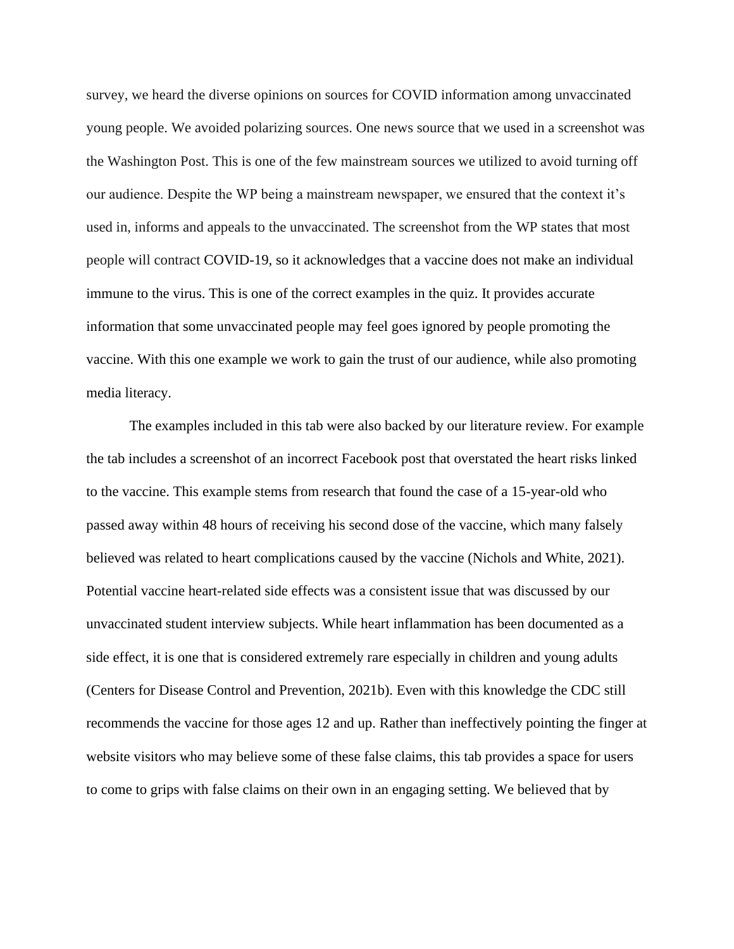survey, we heard the diverse opinions on sources for COVID information among unvaccinated young people. We avoided polarizing sources. One news source that we used in a screenshot was the Washington Post. This is one of the few mainstream sources we utilized to avoid turning off our audience. Despite the WP being a mainstream newspaper, we ensured that the context it's used in, informs and appeals to the unvaccinated. The screenshot from the WP states that most people will contract COVID-19, so it acknowledges that a vaccine does not make an individual immune to the virus. This is one of the correct examples in the quiz. It provides accurate information that some unvaccinated people may feel goes ignored by people promoting the vaccine. With this one example we work to gain the trust of our audience, while also promoting media literacy.

The examples included in this tab were also backed by our literature review. For example the tab includes a screenshot of an incorrect Facebook post that overstated the heart risks linked to the vaccine. This example stems from research that found the case of a 15-year-old who passed away within 48 hours of receiving his second dose of the vaccine, which many falsely believed was related to heart complications caused by the vaccine (Nichols and White, 2021). Potential vaccine heart-related side effects was a consistent issue that was discussed by our unvaccinated student interview subjects. While heart inflammation has been documented as a side effect, it is one that is considered extremely rare especially in children and young adults (Centers for Disease Control and Prevention, 2021b). Even with this knowledge the CDC still recommends the vaccine for those ages 12 and up. Rather than ineffectively pointing the finger at website visitors who may believe some of these false claims, this tab provides a space for users to come to grips with false claims on their own in an engaging setting. We believed that by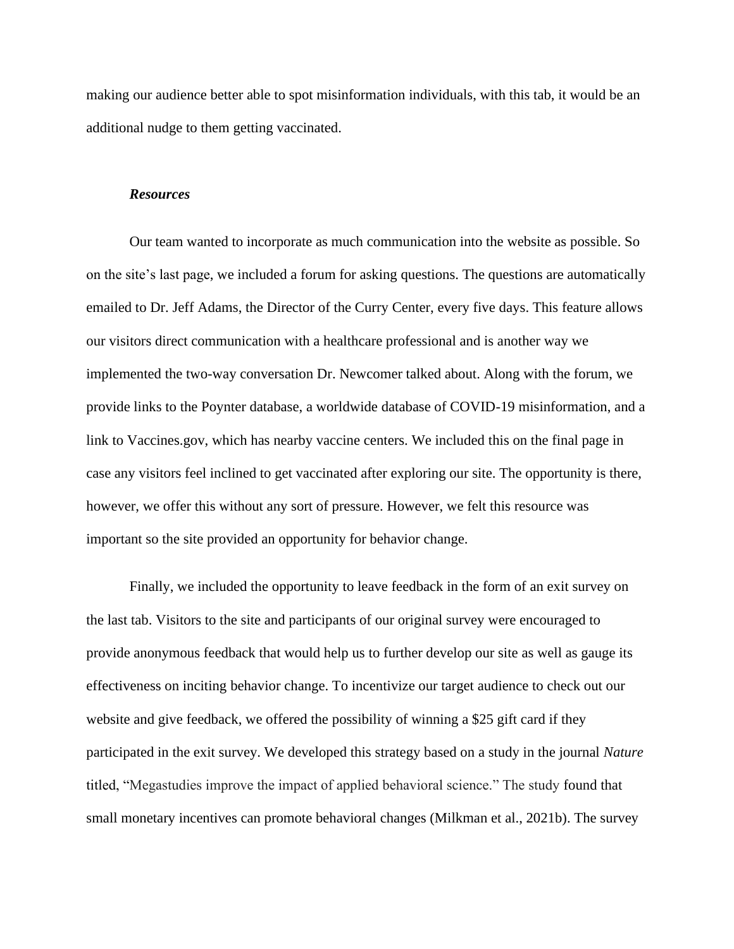making our audience better able to spot misinformation individuals, with this tab, it would be an additional nudge to them getting vaccinated.

#### *Resources*

Our team wanted to incorporate as much communication into the website as possible. So on the site's last page, we included a forum for asking questions. The questions are automatically emailed to Dr. Jeff Adams, the Director of the Curry Center, every five days. This feature allows our visitors direct communication with a healthcare professional and is another way we implemented the two-way conversation Dr. Newcomer talked about. Along with the forum, we provide links to the Poynter database, a worldwide database of COVID-19 misinformation, and a link to Vaccines.gov, which has nearby vaccine centers. We included this on the final page in case any visitors feel inclined to get vaccinated after exploring our site. The opportunity is there, however, we offer this without any sort of pressure. However, we felt this resource was important so the site provided an opportunity for behavior change.

Finally, we included the opportunity to leave feedback in the form of an exit survey on the last tab. Visitors to the site and participants of our original survey were encouraged to provide anonymous feedback that would help us to further develop our site as well as gauge its effectiveness on inciting behavior change. To incentivize our target audience to check out our website and give feedback, we offered the possibility of winning a \$25 gift card if they participated in the exit survey. We developed this strategy based on a study in the journal *Nature* titled, "Megastudies improve the impact of applied behavioral science." The study found that small monetary incentives can promote behavioral changes (Milkman et al., 2021b). The survey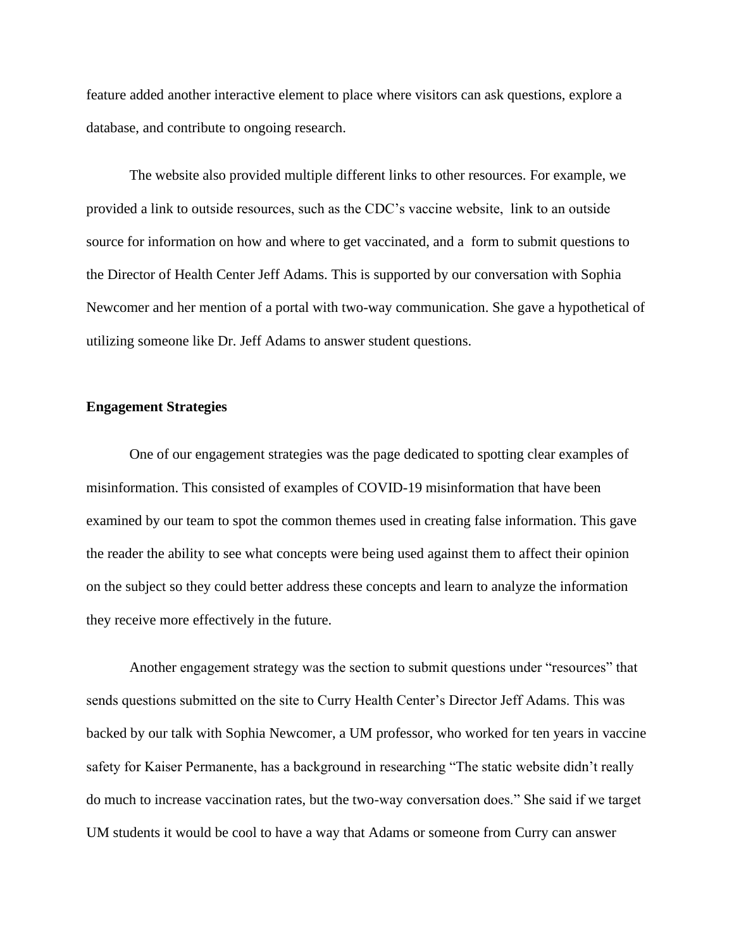feature added another interactive element to place where visitors can ask questions, explore a database, and contribute to ongoing research.

The website also provided multiple different links to other resources. For example, we provided a link to outside resources, such as the CDC's vaccine website, link to an outside source for information on how and where to get vaccinated, and a form to submit questions to the Director of Health Center Jeff Adams. This is supported by our conversation with Sophia Newcomer and her mention of a portal with two-way communication. She gave a hypothetical of utilizing someone like Dr. Jeff Adams to answer student questions.

#### **Engagement Strategies**

One of our engagement strategies was the page dedicated to spotting clear examples of misinformation. This consisted of examples of COVID-19 misinformation that have been examined by our team to spot the common themes used in creating false information. This gave the reader the ability to see what concepts were being used against them to affect their opinion on the subject so they could better address these concepts and learn to analyze the information they receive more effectively in the future.

Another engagement strategy was the section to submit questions under "resources" that sends questions submitted on the site to Curry Health Center's Director Jeff Adams. This was backed by our talk with Sophia Newcomer, a UM professor, who worked for ten years in vaccine safety for Kaiser Permanente, has a background in researching "The static website didn't really do much to increase vaccination rates, but the two-way conversation does." She said if we target UM students it would be cool to have a way that Adams or someone from Curry can answer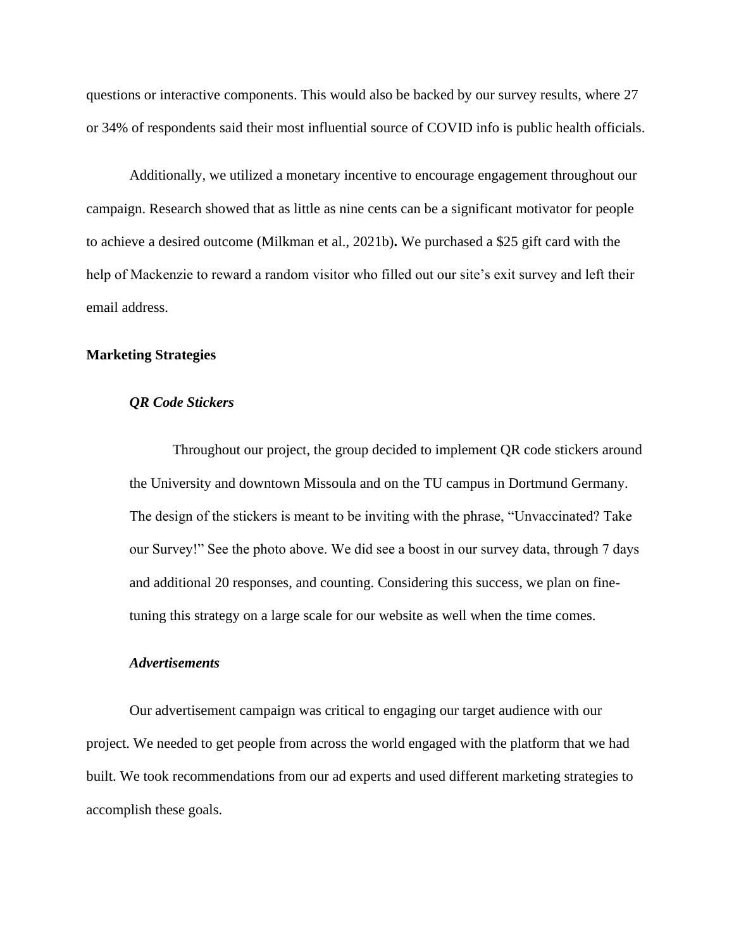questions or interactive components. This would also be backed by our survey results, where 27 or 34% of respondents said their most influential source of COVID info is public health officials.

Additionally, we utilized a monetary incentive to encourage engagement throughout our campaign. Research showed that as little as nine cents can be a significant motivator for people to achieve a desired outcome (Milkman et al., 2021b)**.** We purchased a \$25 gift card with the help of Mackenzie to reward a random visitor who filled out our site's exit survey and left their email address.

# **Marketing Strategies**

# *QR Code Stickers*

Throughout our project, the group decided to implement QR code stickers around the University and downtown Missoula and on the TU campus in Dortmund Germany. The design of the stickers is meant to be inviting with the phrase, "Unvaccinated? Take our Survey!" See the photo above. We did see a boost in our survey data, through 7 days and additional 20 responses, and counting. Considering this success, we plan on finetuning this strategy on a large scale for our website as well when the time comes.

#### *Advertisements*

Our advertisement campaign was critical to engaging our target audience with our project. We needed to get people from across the world engaged with the platform that we had built. We took recommendations from our ad experts and used different marketing strategies to accomplish these goals.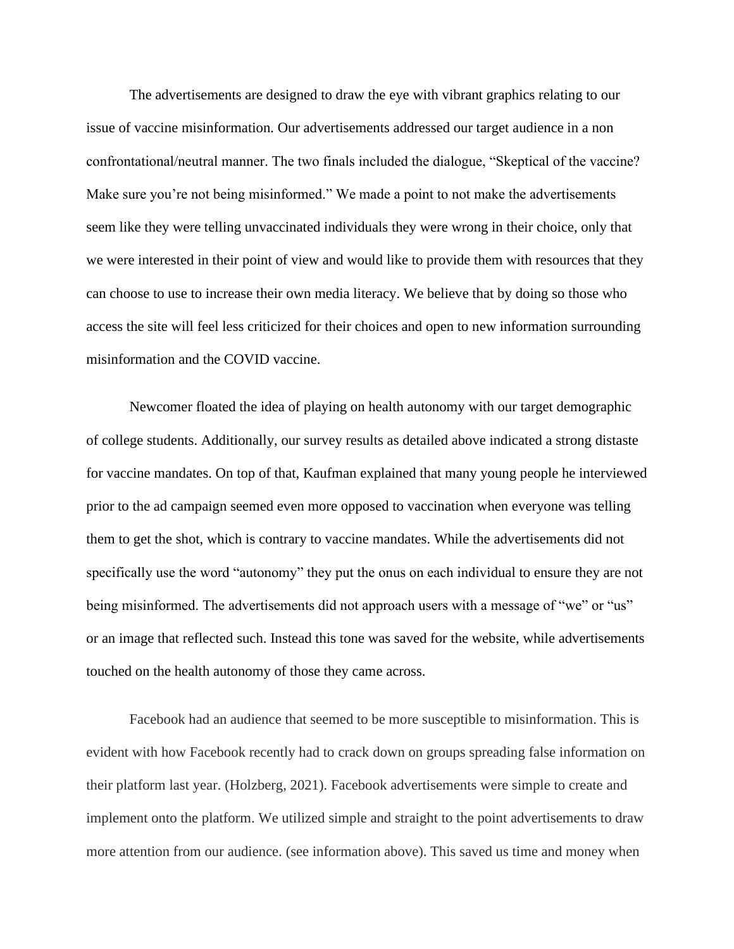The advertisements are designed to draw the eye with vibrant graphics relating to our issue of vaccine misinformation. Our advertisements addressed our target audience in a non confrontational/neutral manner. The two finals included the dialogue, "Skeptical of the vaccine? Make sure you're not being misinformed." We made a point to not make the advertisements seem like they were telling unvaccinated individuals they were wrong in their choice, only that we were interested in their point of view and would like to provide them with resources that they can choose to use to increase their own media literacy. We believe that by doing so those who access the site will feel less criticized for their choices and open to new information surrounding misinformation and the COVID vaccine.

Newcomer floated the idea of playing on health autonomy with our target demographic of college students. Additionally, our survey results as detailed above indicated a strong distaste for vaccine mandates. On top of that, Kaufman explained that many young people he interviewed prior to the ad campaign seemed even more opposed to vaccination when everyone was telling them to get the shot, which is contrary to vaccine mandates. While the advertisements did not specifically use the word "autonomy" they put the onus on each individual to ensure they are not being misinformed. The advertisements did not approach users with a message of "we" or "us" or an image that reflected such. Instead this tone was saved for the website, while advertisements touched on the health autonomy of those they came across.

Facebook had an audience that seemed to be more susceptible to misinformation. This is evident with how Facebook recently had to crack down on groups spreading false information on their platform last year. (Holzberg, 2021). Facebook advertisements were simple to create and implement onto the platform. We utilized simple and straight to the point advertisements to draw more attention from our audience. (see information above). This saved us time and money when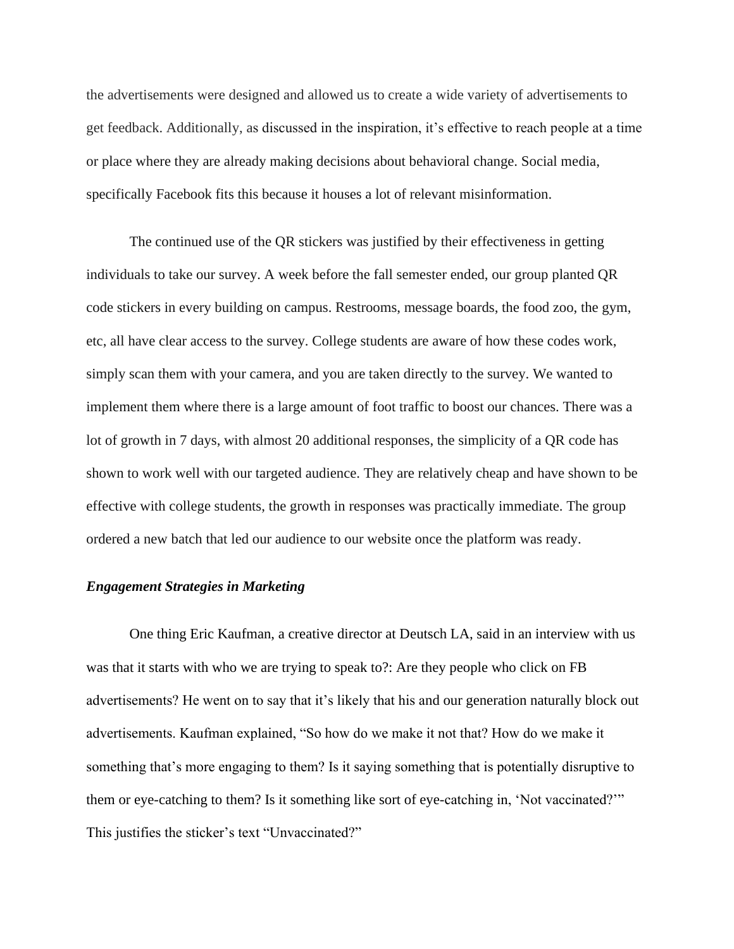the advertisements were designed and allowed us to create a wide variety of advertisements to get feedback. Additionally, as discussed in the inspiration, it's effective to reach people at a time or place where they are already making decisions about behavioral change. Social media, specifically Facebook fits this because it houses a lot of relevant misinformation.

The continued use of the QR stickers was justified by their effectiveness in getting individuals to take our survey. A week before the fall semester ended, our group planted QR code stickers in every building on campus. Restrooms, message boards, the food zoo, the gym, etc, all have clear access to the survey. College students are aware of how these codes work, simply scan them with your camera, and you are taken directly to the survey. We wanted to implement them where there is a large amount of foot traffic to boost our chances. There was a lot of growth in 7 days, with almost 20 additional responses, the simplicity of a QR code has shown to work well with our targeted audience. They are relatively cheap and have shown to be effective with college students, the growth in responses was practically immediate. The group ordered a new batch that led our audience to our website once the platform was ready.

# *Engagement Strategies in Marketing*

One thing Eric Kaufman, a creative director at Deutsch LA, said in an interview with us was that it starts with who we are trying to speak to?: Are they people who click on FB advertisements? He went on to say that it's likely that his and our generation naturally block out advertisements. Kaufman explained, "So how do we make it not that? How do we make it something that's more engaging to them? Is it saying something that is potentially disruptive to them or eye-catching to them? Is it something like sort of eye-catching in, 'Not vaccinated?'" This justifies the sticker's text "Unvaccinated?"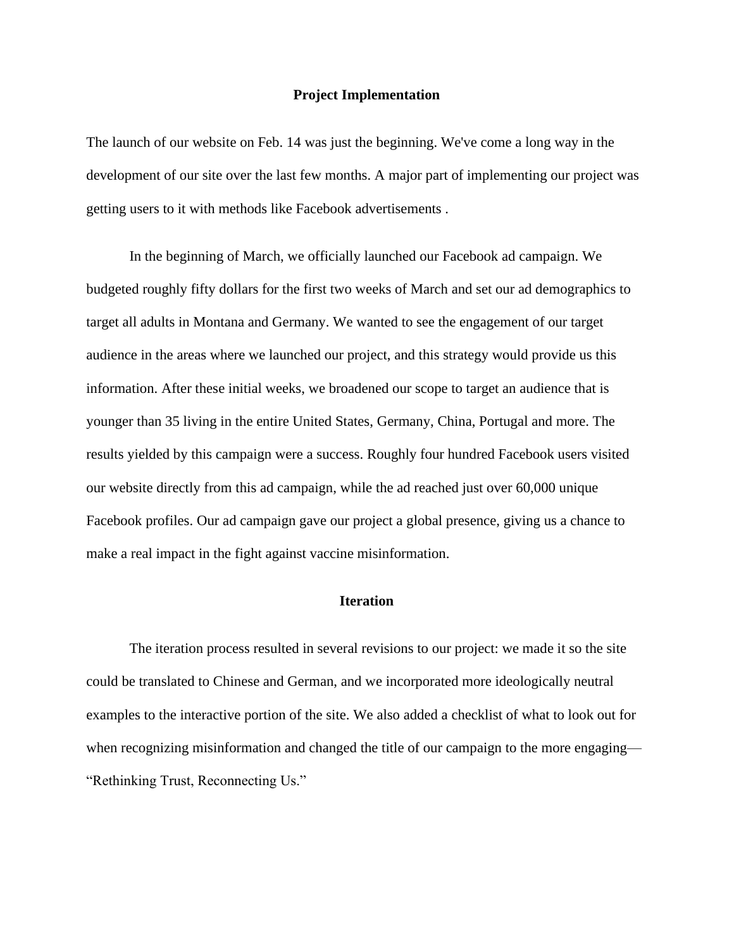#### **Project Implementation**

The launch of our website on Feb. 14 was just the beginning. We've come a long way in the development of our site over the last few months. A major part of implementing our project was getting users to it with methods like Facebook advertisements .

In the beginning of March, we officially launched our Facebook ad campaign. We budgeted roughly fifty dollars for the first two weeks of March and set our ad demographics to target all adults in Montana and Germany. We wanted to see the engagement of our target audience in the areas where we launched our project, and this strategy would provide us this information. After these initial weeks, we broadened our scope to target an audience that is younger than 35 living in the entire United States, Germany, China, Portugal and more. The results yielded by this campaign were a success. Roughly four hundred Facebook users visited our website directly from this ad campaign, while the ad reached just over 60,000 unique Facebook profiles. Our ad campaign gave our project a global presence, giving us a chance to make a real impact in the fight against vaccine misinformation.

# **Iteration**

The iteration process resulted in several revisions to our project: we made it so the site could be translated to Chinese and German, and we incorporated more ideologically neutral examples to the interactive portion of the site. We also added a checklist of what to look out for when recognizing misinformation and changed the title of our campaign to the more engaging— "Rethinking Trust, Reconnecting Us."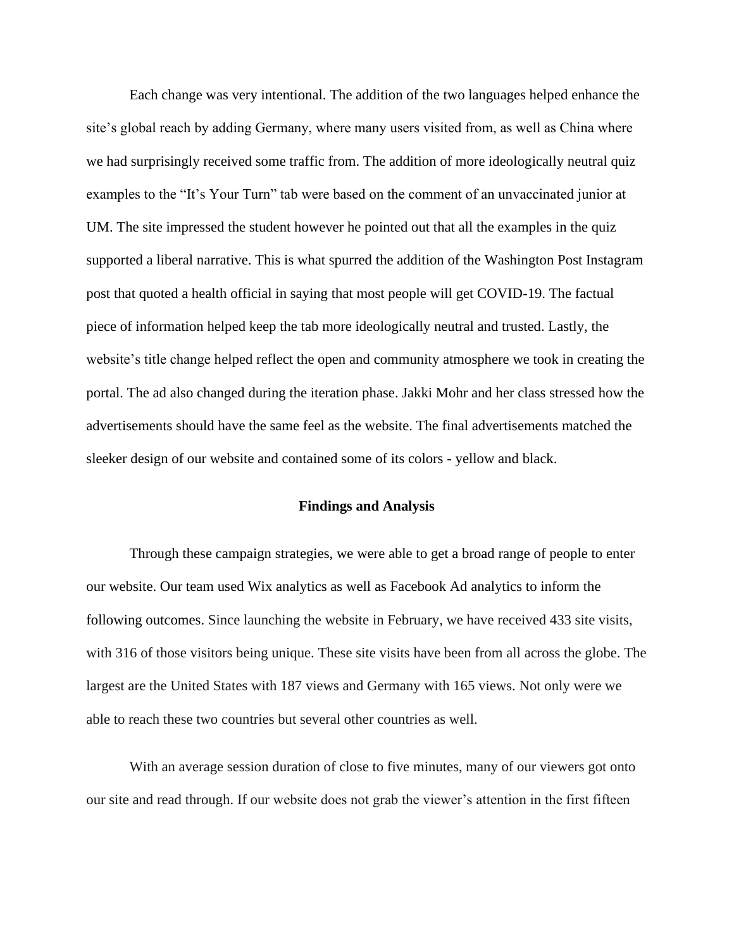Each change was very intentional. The addition of the two languages helped enhance the site's global reach by adding Germany, where many users visited from, as well as China where we had surprisingly received some traffic from. The addition of more ideologically neutral quiz examples to the "It's Your Turn" tab were based on the comment of an unvaccinated junior at UM. The site impressed the student however he pointed out that all the examples in the quiz supported a liberal narrative. This is what spurred the addition of the Washington Post Instagram post that quoted a health official in saying that most people will get COVID-19. The factual piece of information helped keep the tab more ideologically neutral and trusted. Lastly, the website's title change helped reflect the open and community atmosphere we took in creating the portal. The ad also changed during the iteration phase. Jakki Mohr and her class stressed how the advertisements should have the same feel as the website. The final advertisements matched the sleeker design of our website and contained some of its colors - yellow and black.

# **Findings and Analysis**

Through these campaign strategies, we were able to get a broad range of people to enter our website. Our team used Wix analytics as well as Facebook Ad analytics to inform the following outcomes. Since launching the website in February, we have received 433 site visits, with 316 of those visitors being unique. These site visits have been from all across the globe. The largest are the United States with 187 views and Germany with 165 views. Not only were we able to reach these two countries but several other countries as well.

With an average session duration of close to five minutes, many of our viewers got onto our site and read through. If our website does not grab the viewer's attention in the first fifteen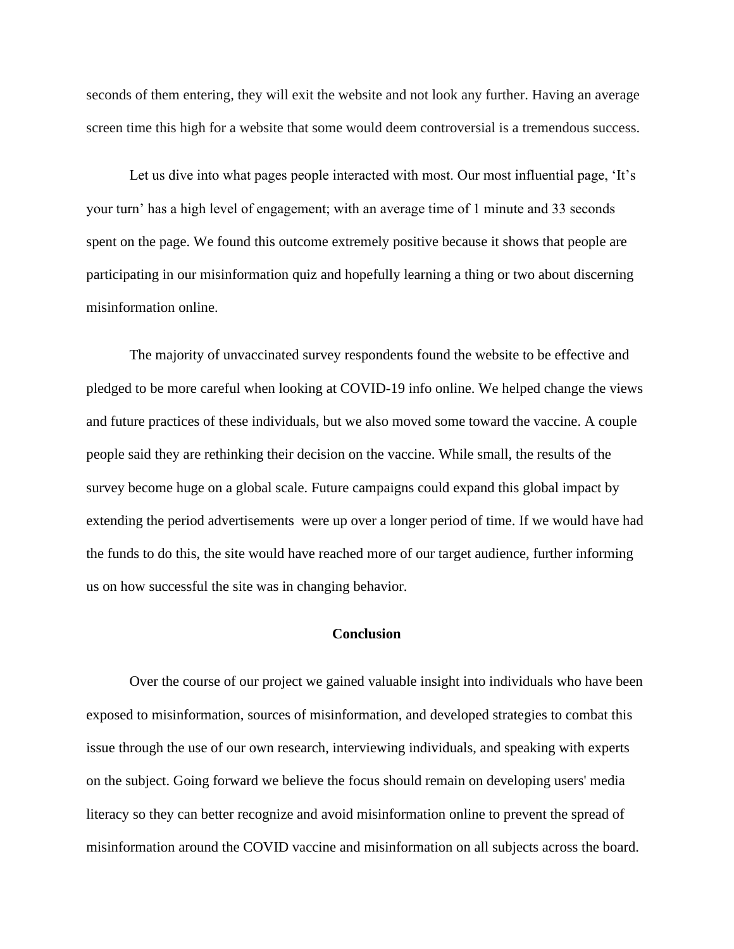seconds of them entering, they will exit the website and not look any further. Having an average screen time this high for a website that some would deem controversial is a tremendous success.

Let us dive into what pages people interacted with most. Our most influential page, 'It's your turn' has a high level of engagement; with an average time of 1 minute and 33 seconds spent on the page. We found this outcome extremely positive because it shows that people are participating in our misinformation quiz and hopefully learning a thing or two about discerning misinformation online.

The majority of unvaccinated survey respondents found the website to be effective and pledged to be more careful when looking at COVID-19 info online. We helped change the views and future practices of these individuals, but we also moved some toward the vaccine. A couple people said they are rethinking their decision on the vaccine. While small, the results of the survey become huge on a global scale. Future campaigns could expand this global impact by extending the period advertisements were up over a longer period of time. If we would have had the funds to do this, the site would have reached more of our target audience, further informing us on how successful the site was in changing behavior.

# **Conclusion**

Over the course of our project we gained valuable insight into individuals who have been exposed to misinformation, sources of misinformation, and developed strategies to combat this issue through the use of our own research, interviewing individuals, and speaking with experts on the subject. Going forward we believe the focus should remain on developing users' media literacy so they can better recognize and avoid misinformation online to prevent the spread of misinformation around the COVID vaccine and misinformation on all subjects across the board.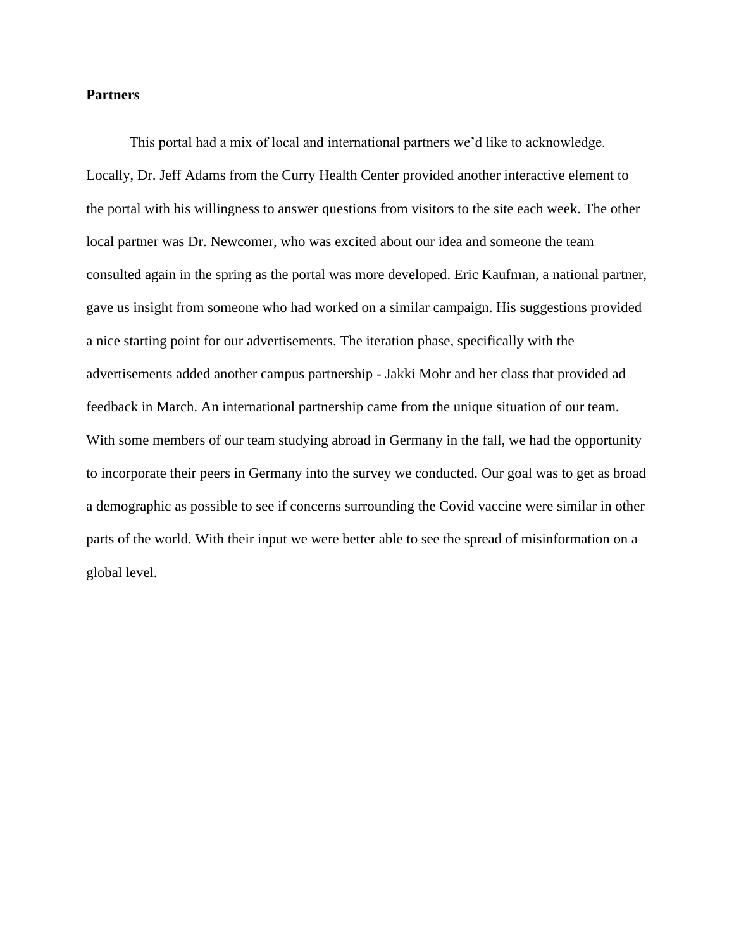## **Partners**

This portal had a mix of local and international partners we'd like to acknowledge. Locally, Dr. Jeff Adams from the Curry Health Center provided another interactive element to the portal with his willingness to answer questions from visitors to the site each week. The other local partner was Dr. Newcomer, who was excited about our idea and someone the team consulted again in the spring as the portal was more developed. Eric Kaufman, a national partner, gave us insight from someone who had worked on a similar campaign. His suggestions provided a nice starting point for our advertisements. The iteration phase, specifically with the advertisements added another campus partnership - Jakki Mohr and her class that provided ad feedback in March. An international partnership came from the unique situation of our team. With some members of our team studying abroad in Germany in the fall, we had the opportunity to incorporate their peers in Germany into the survey we conducted. Our goal was to get as broad a demographic as possible to see if concerns surrounding the Covid vaccine were similar in other parts of the world. With their input we were better able to see the spread of misinformation on a global level.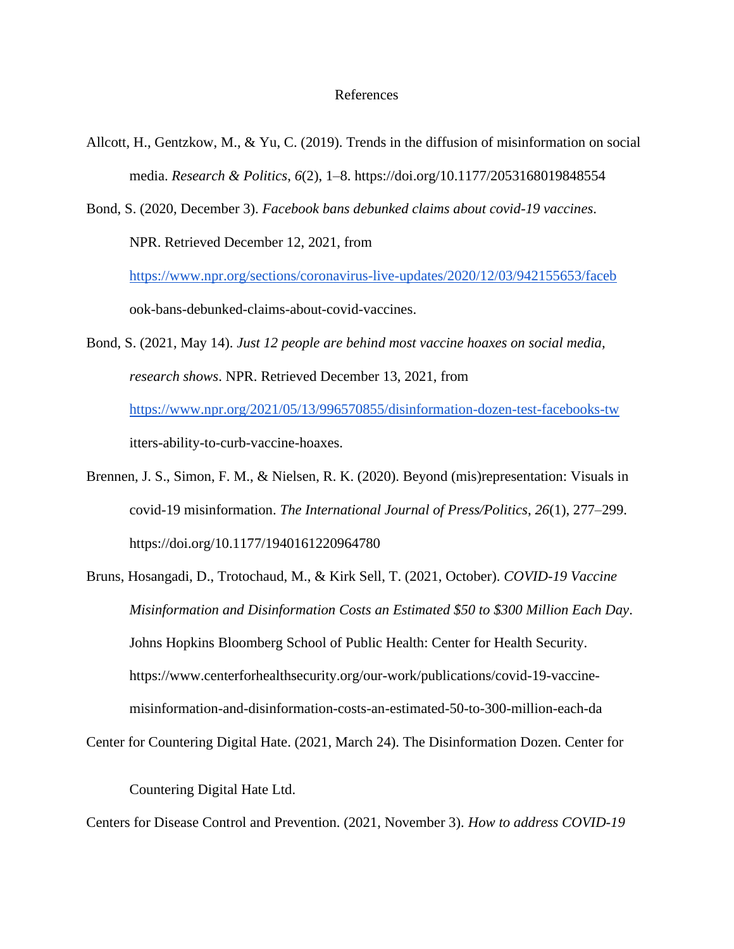#### References

Allcott, H., Gentzkow, M., & Yu, C. (2019). Trends in the diffusion of misinformation on social media. *Research & Politics*, *6*(2), 1–8. https://doi.org/10.1177/2053168019848554

Bond, S. (2020, December 3). *Facebook bans debunked claims about covid-19 vaccines*. NPR. Retrieved December 12, 2021, from

<https://www.npr.org/sections/coronavirus-live-updates/2020/12/03/942155653/faceb> ook-bans-debunked-claims-about-covid-vaccines.

Bond, S. (2021, May 14). *Just 12 people are behind most vaccine hoaxes on social media, research shows*. NPR. Retrieved December 13, 2021, from <https://www.npr.org/2021/05/13/996570855/disinformation-dozen-test-facebooks-tw>

itters-ability-to-curb-vaccine-hoaxes.

Brennen, J. S., Simon, F. M., & Nielsen, R. K. (2020). Beyond (mis)representation: Visuals in covid-19 misinformation. *The International Journal of Press/Politics*, *26*(1), 277–299. https://doi.org/10.1177/1940161220964780

Bruns, Hosangadi, D., Trotochaud, M., & Kirk Sell, T. (2021, October). *COVID-19 Vaccine Misinformation and Disinformation Costs an Estimated \$50 to \$300 Million Each Day*. Johns Hopkins Bloomberg School of Public Health: Center for Health Security. https://www.centerforhealthsecurity.org/our-work/publications/covid-19-vaccinemisinformation-and-disinformation-costs-an-estimated-50-to-300-million-each-da

Center for Countering Digital Hate. (2021, March 24). The Disinformation Dozen. Center for

Countering Digital Hate Ltd.

Centers for Disease Control and Prevention. (2021, November 3). *How to address COVID-19*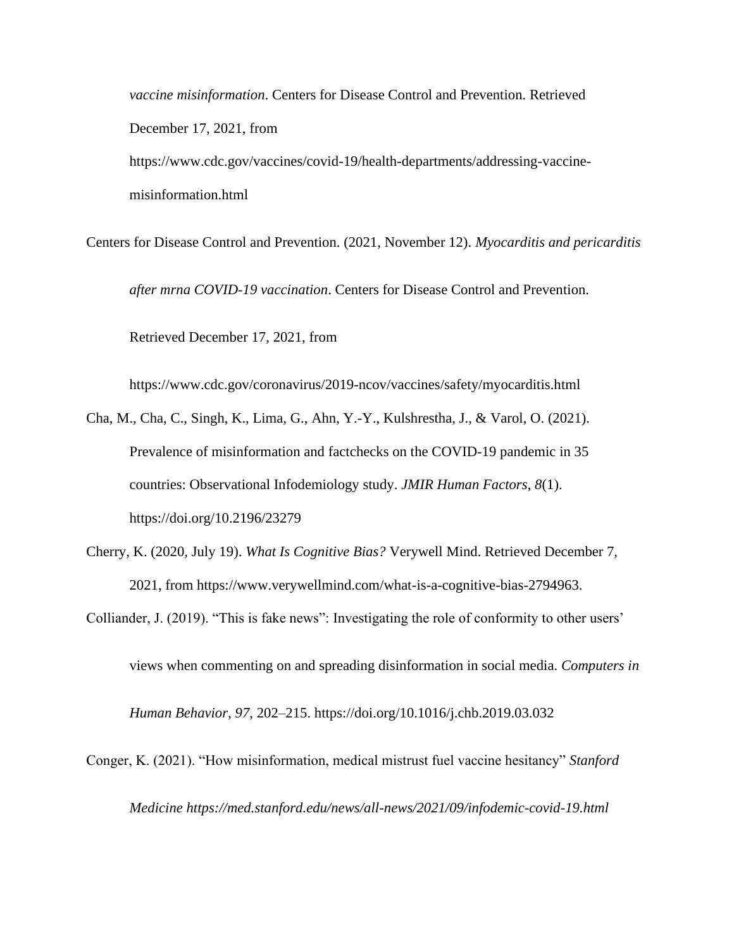*vaccine misinformation*. Centers for Disease Control and Prevention. Retrieved December 17, 2021, from https://www.cdc.gov/vaccines/covid-19/health-departments/addressing-vaccinemisinformation.html

Centers for Disease Control and Prevention. (2021, November 12). *Myocarditis and pericarditis after mrna COVID-19 vaccination*. Centers for Disease Control and Prevention. Retrieved December 17, 2021, from

https://www.cdc.gov/coronavirus/2019-ncov/vaccines/safety/myocarditis.html

- Cha, M., Cha, C., Singh, K., Lima, G., Ahn, Y.-Y., Kulshrestha, J., & Varol, O. (2021). Prevalence of misinformation and factchecks on the COVID-19 pandemic in 35 countries: Observational Infodemiology study. *JMIR Human Factors*, *8*(1). https://doi.org/10.2196/23279
- Cherry, K. (2020, July 19). *What Is Cognitive Bias?* Verywell Mind. Retrieved December 7, 2021, from https://www.verywellmind.com/what-is-a-cognitive-bias-2794963.

Colliander, J. (2019). "This is fake news": Investigating the role of conformity to other users'

views when commenting on and spreading disinformation in social media. *Computers in* 

*Human Behavior*, *97*, 202–215. https://doi.org/10.1016/j.chb.2019.03.032

Conger, K. (2021). "How misinformation, medical mistrust fuel vaccine hesitancy" *Stanford Medicine https://med.stanford.edu/news/all-news/2021/09/infodemic-covid-19.html*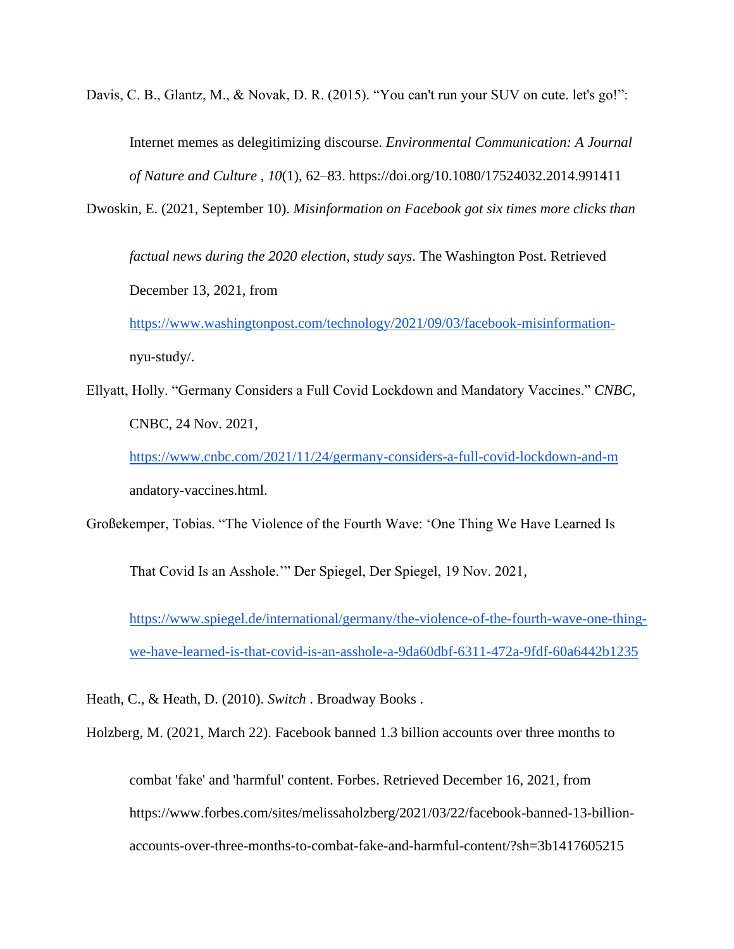Davis, C. B., Glantz, M., & Novak, D. R. (2015). "You can't run your SUV on cute. let's go!":

Internet memes as delegitimizing discourse. *Environmental Communication: A Journal of Nature and Culture* , *10*(1), 62–83. https://doi.org/10.1080/17524032.2014.991411

Dwoskin, E. (2021, September 10). *Misinformation on Facebook got six times more clicks than* 

*factual news during the 2020 election, study says*. The Washington Post. Retrieved December 13, 2021, from

[https://www.washingtonpost.com/technology/2021/09/03/facebook-misinformation](https://www.washingtonpost.com/technology/2021/09/03/facebook-misinformation-)nyu-study/.

Ellyatt, Holly. "Germany Considers a Full Covid Lockdown and Mandatory Vaccines." *CNBC*, CNBC, 24 Nov. 2021,

<https://www.cnbc.com/2021/11/24/germany-considers-a-full-covid-lockdown-and-m> andatory-vaccines.html.

Großekemper, Tobias. "The Violence of the Fourth Wave: 'One Thing We Have Learned Is

That Covid Is an Asshole.'" Der Spiegel, Der Spiegel, 19 Nov. 2021,

[https://www.spiegel.de/international/germany/the-violence-of-the-fourth-wave-one-thing](https://www.spiegel.de/international/germany/the-violence-of-the-fourth-wave-one-thing-we-have-learned-is-that-covid-is-an-asshole-a-9da60dbf-6311-472a-9fdf-60a6442b1235)[we-have-learned-is-that-covid-is-an-asshole-a-9da60dbf-6311-472a-9fdf-60a6442b1235](https://www.spiegel.de/international/germany/the-violence-of-the-fourth-wave-one-thing-we-have-learned-is-that-covid-is-an-asshole-a-9da60dbf-6311-472a-9fdf-60a6442b1235)

Heath, C., & Heath, D. (2010). *Switch* . Broadway Books .

Holzberg, M. (2021, March 22). Facebook banned 1.3 billion accounts over three months to

combat 'fake' and 'harmful' content. Forbes. Retrieved December 16, 2021, from https://www.forbes.com/sites/melissaholzberg/2021/03/22/facebook-banned-13-billionaccounts-over-three-months-to-combat-fake-and-harmful-content/?sh=3b1417605215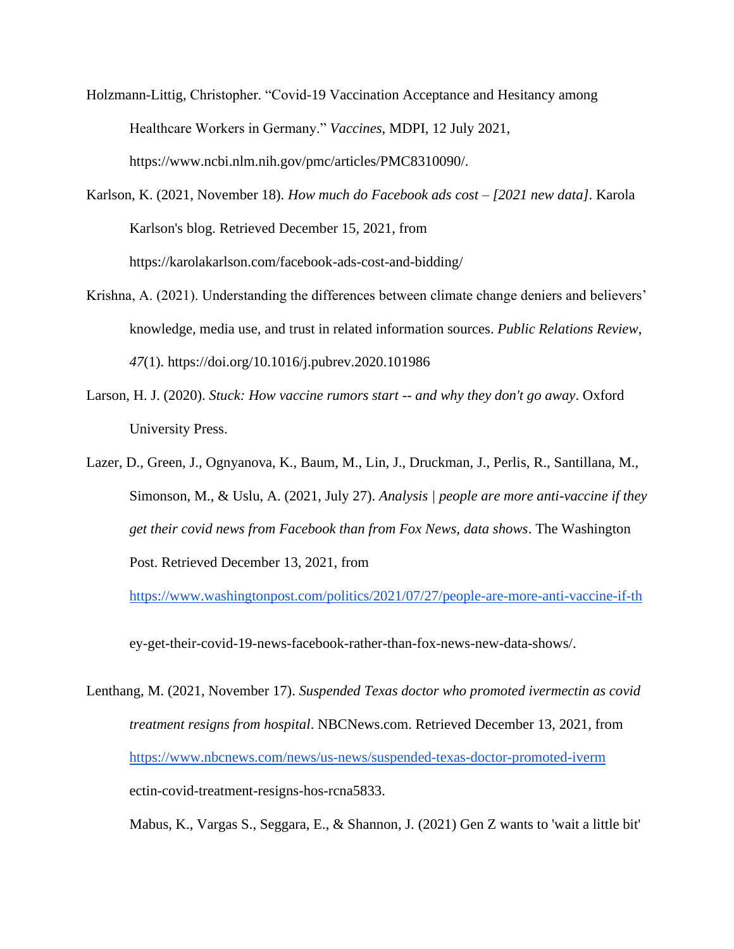- Holzmann-Littig, Christopher. "Covid-19 Vaccination Acceptance and Hesitancy among Healthcare Workers in Germany." *Vaccines*, MDPI, 12 July 2021, https://www.ncbi.nlm.nih.gov/pmc/articles/PMC8310090/.
- Karlson, K. (2021, November 18). *How much do Facebook ads cost – [2021 new data]*. Karola Karlson's blog. Retrieved December 15, 2021, from https://karolakarlson.com/facebook-ads-cost-and-bidding/
- Krishna, A. (2021). Understanding the differences between climate change deniers and believers' knowledge, media use, and trust in related information sources. *Public Relations Review*, *47*(1). https://doi.org/10.1016/j.pubrev.2020.101986
- Larson, H. J. (2020). *Stuck: How vaccine rumors start -- and why they don't go away*. Oxford University Press.
- Lazer, D., Green, J., Ognyanova, K., Baum, M., Lin, J., Druckman, J., Perlis, R., Santillana, M., Simonson, M., & Uslu, A. (2021, July 27). *Analysis | people are more anti-vaccine if they get their covid news from Facebook than from Fox News, data shows*. The Washington Post. Retrieved December 13, 2021, from

<https://www.washingtonpost.com/politics/2021/07/27/people-are-more-anti-vaccine-if-th>

ey-get-their-covid-19-news-facebook-rather-than-fox-news-new-data-shows/.

Lenthang, M. (2021, November 17). *Suspended Texas doctor who promoted ivermectin as covid treatment resigns from hospital*. NBCNews.com. Retrieved December 13, 2021, from <https://www.nbcnews.com/news/us-news/suspended-texas-doctor-promoted-iverm> ectin-covid-treatment-resigns-hos-rcna5833.

Mabus, K., Vargas S., Seggara, E., & Shannon, J. (2021) Gen Z wants to 'wait a little bit'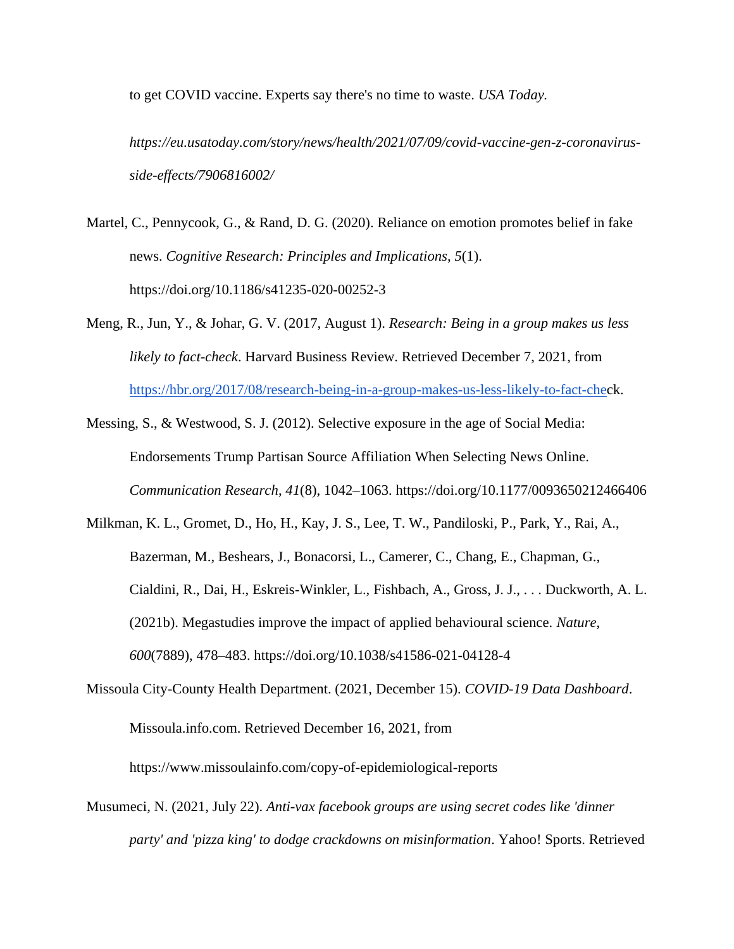to get COVID vaccine. Experts say there's no time to waste. *USA Today.* 

*https://eu.usatoday.com/story/news/health/2021/07/09/covid-vaccine-gen-z-coronavirusside-effects/7906816002/*

- Martel, C., Pennycook, G., & Rand, D. G. (2020). Reliance on emotion promotes belief in fake news. *Cognitive Research: Principles and Implications*, *5*(1). https://doi.org/10.1186/s41235-020-00252-3
- Meng, R., Jun, Y., & Johar, G. V. (2017, August 1). *Research: Being in a group makes us less likely to fact-check*. Harvard Business Review. Retrieved December 7, 2021, from [https://hbr.org/2017/08/research-being-in-a-group-makes-us-less-likely-to-fact-chec](https://hbr.org/2017/08/research-being-in-a-group-makes-us-less-likely-to-fact-che)k.

Messing, S., & Westwood, S. J. (2012). Selective exposure in the age of Social Media: Endorsements Trump Partisan Source Affiliation When Selecting News Online. *Communication Research*, *41*(8), 1042–1063. https://doi.org/10.1177/0093650212466406

- Milkman, K. L., Gromet, D., Ho, H., Kay, J. S., Lee, T. W., Pandiloski, P., Park, Y., Rai, A., Bazerman, M., Beshears, J., Bonacorsi, L., Camerer, C., Chang, E., Chapman, G., Cialdini, R., Dai, H., Eskreis-Winkler, L., Fishbach, A., Gross, J. J., . . . Duckworth, A. L. (2021b). Megastudies improve the impact of applied behavioural science. *Nature*, *600*(7889), 478–483. https://doi.org/10.1038/s41586-021-04128-4
- Missoula City-County Health Department. (2021, December 15). *COVID-19 Data Dashboard*. Missoula.info.com. Retrieved December 16, 2021, from https://www.missoulainfo.com/copy-of-epidemiological-reports
- Musumeci, N. (2021, July 22). *Anti-vax facebook groups are using secret codes like 'dinner party' and 'pizza king' to dodge crackdowns on misinformation*. Yahoo! Sports. Retrieved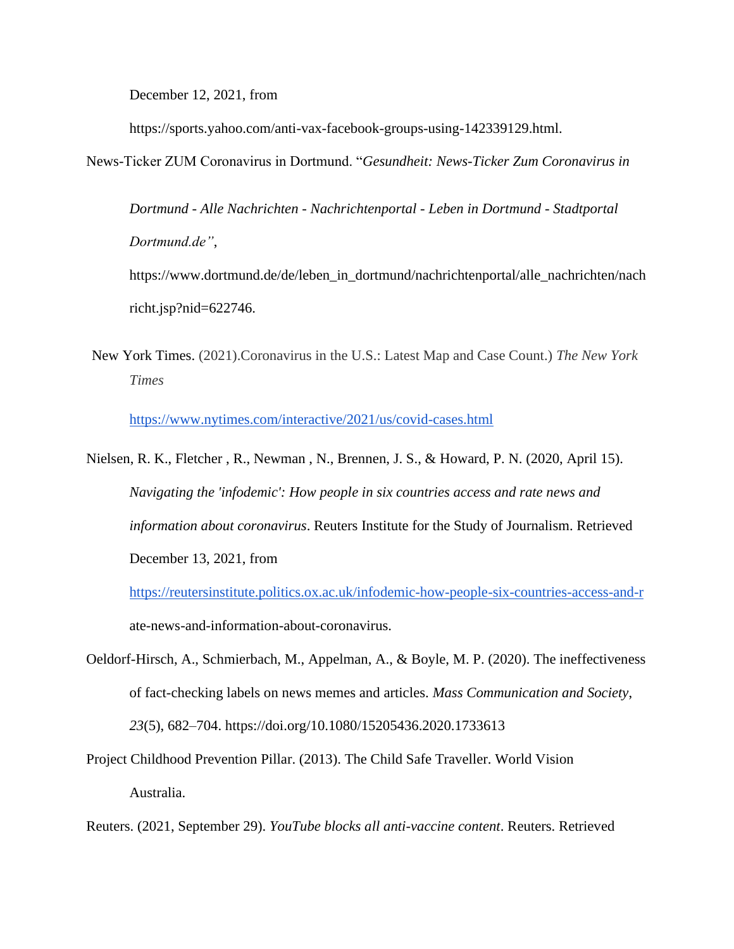December 12, 2021, from

https://sports.yahoo.com/anti-vax-facebook-groups-using-142339129.html.

News-Ticker ZUM Coronavirus in Dortmund. "*Gesundheit: News-Ticker Zum Coronavirus in* 

*Dortmund - Alle Nachrichten - Nachrichtenportal - Leben in Dortmund - Stadtportal Dortmund.de"*,

https://www.dortmund.de/de/leben\_in\_dortmund/nachrichtenportal/alle\_nachrichten/nach richt.jsp?nid=622746.

New York Times. (2021).Coronavirus in the U.S.: Latest Map and Case Count.) *The New York Times*

<https://www.nytimes.com/interactive/2021/us/covid-cases.html>

Nielsen, R. K., Fletcher , R., Newman , N., Brennen, J. S., & Howard, P. N. (2020, April 15). *Navigating the 'infodemic': How people in six countries access and rate news and information about coronavirus*. Reuters Institute for the Study of Journalism. Retrieved December 13, 2021, from

<https://reutersinstitute.politics.ox.ac.uk/infodemic-how-people-six-countries-access-and-r> ate-news-and-information-about-coronavirus.

- Oeldorf-Hirsch, A., Schmierbach, M., Appelman, A., & Boyle, M. P. (2020). The ineffectiveness of fact-checking labels on news memes and articles. *Mass Communication and Society*, *23*(5), 682–704. https://doi.org/10.1080/15205436.2020.1733613
- Project Childhood Prevention Pillar. (2013). The Child Safe Traveller. World Vision Australia.

Reuters. (2021, September 29). *YouTube blocks all anti-vaccine content*. Reuters. Retrieved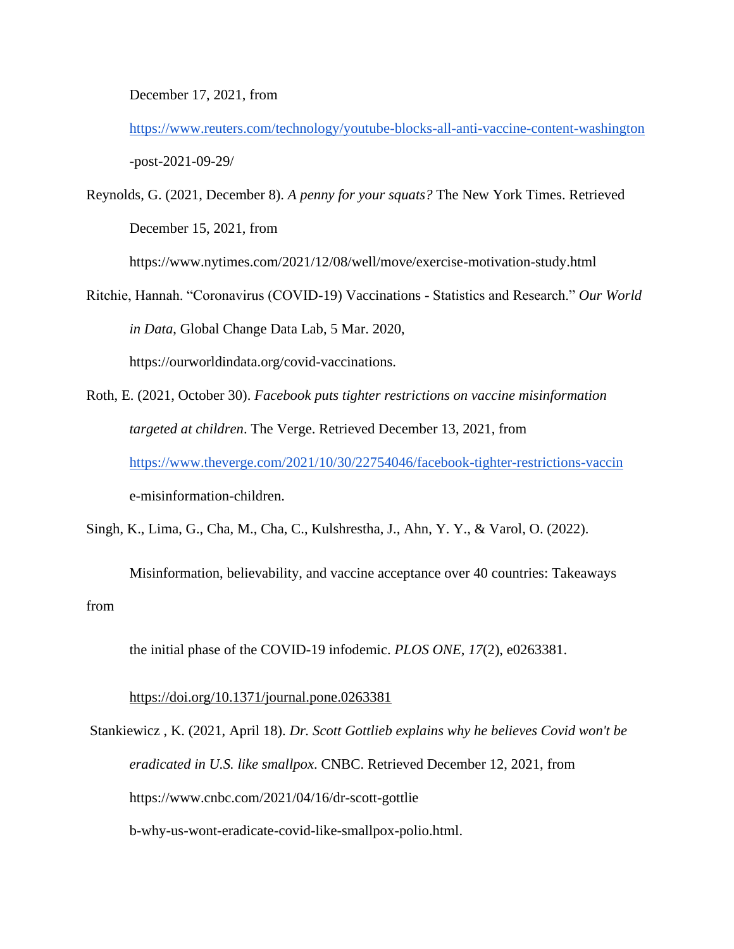December 17, 2021, from

<https://www.reuters.com/technology/youtube-blocks-all-anti-vaccine-content-washington> -post-2021-09-29/

Reynolds, G. (2021, December 8). *A penny for your squats?* The New York Times. Retrieved December 15, 2021, from

https://www.nytimes.com/2021/12/08/well/move/exercise-motivation-study.html

- Ritchie, Hannah. "Coronavirus (COVID-19) Vaccinations Statistics and Research." *Our World in Data*, Global Change Data Lab, 5 Mar. 2020, https://ourworldindata.org/covid-vaccinations.
- Roth, E. (2021, October 30). *Facebook puts tighter restrictions on vaccine misinformation targeted at children*. The Verge. Retrieved December 13, 2021, from <https://www.theverge.com/2021/10/30/22754046/facebook-tighter-restrictions-vaccin> e-misinformation-children.

Singh, K., Lima, G., Cha, M., Cha, C., Kulshrestha, J., Ahn, Y. Y., & Varol, O. (2022).

Misinformation, believability, and vaccine acceptance over 40 countries: Takeaways from

the initial phase of the COVID-19 infodemic. *PLOS ONE*, *17*(2), e0263381.

# <https://doi.org/10.1371/journal.pone.0263381>

Stankiewicz , K. (2021, April 18). *Dr. Scott Gottlieb explains why he believes Covid won't be eradicated in U.S. like smallpox*. CNBC. Retrieved December 12, 2021, from https://www.cnbc.com/2021/04/16/dr-scott-gottlie

b-why-us-wont-eradicate-covid-like-smallpox-polio.html.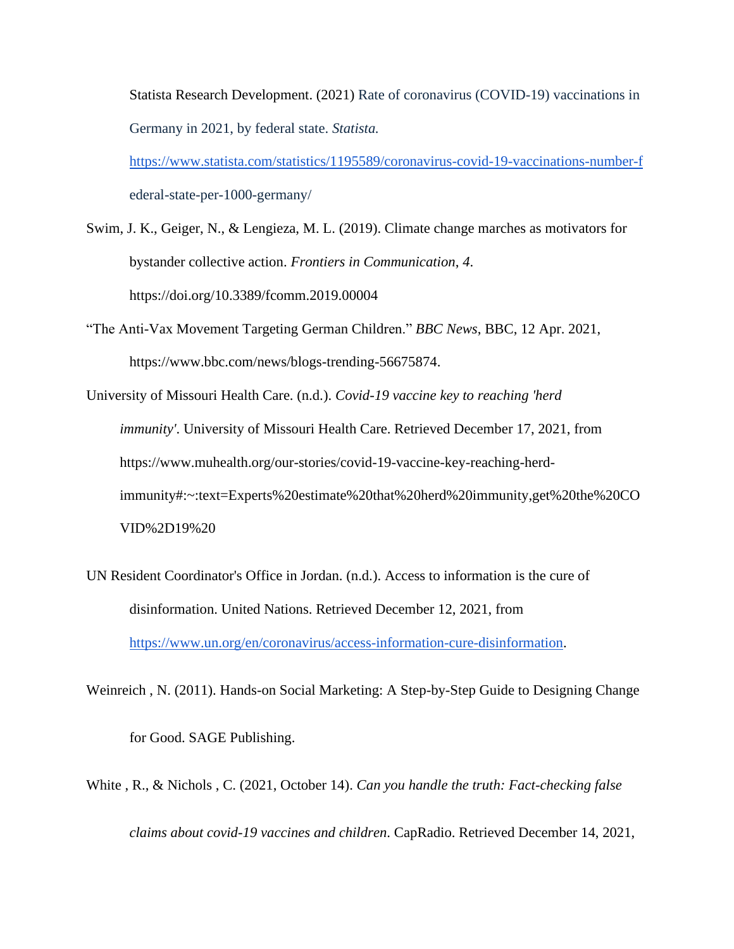Statista Research Development. (2021) Rate of coronavirus (COVID-19) vaccinations in Germany in 2021, by federal state. *Statista.*

<https://www.statista.com/statistics/1195589/coronavirus-covid-19-vaccinations-number-f> ederal-state-per-1000-germany/

Swim, J. K., Geiger, N., & Lengieza, M. L. (2019). Climate change marches as motivators for bystander collective action. *Frontiers in Communication*, *4*. https://doi.org/10.3389/fcomm.2019.00004

"The Anti-Vax Movement Targeting German Children." *BBC News*, BBC, 12 Apr. 2021, https://www.bbc.com/news/blogs-trending-56675874.

University of Missouri Health Care. (n.d.). *Covid-19 vaccine key to reaching 'herd immunity'*. University of Missouri Health Care. Retrieved December 17, 2021, from https://www.muhealth.org/our-stories/covid-19-vaccine-key-reaching-herdimmunity#:~:text=Experts%20estimate%20that%20herd%20immunity,get%20the%20CO VID%2D19%20

UN Resident Coordinator's Office in Jordan. (n.d.). Access to information is the cure of disinformation. United Nations. Retrieved December 12, 2021, from [https://www.un.org/en/coronavirus/access-information-cure-disinformation.](https://www.un.org/en/coronavirus/access-information-cure-disinformation)

Weinreich , N. (2011). Hands-on Social Marketing: A Step-by-Step Guide to Designing Change for Good. SAGE Publishing.

White , R., & Nichols , C. (2021, October 14). *Can you handle the truth: Fact-checking false claims about covid-19 vaccines and children*. CapRadio. Retrieved December 14, 2021,